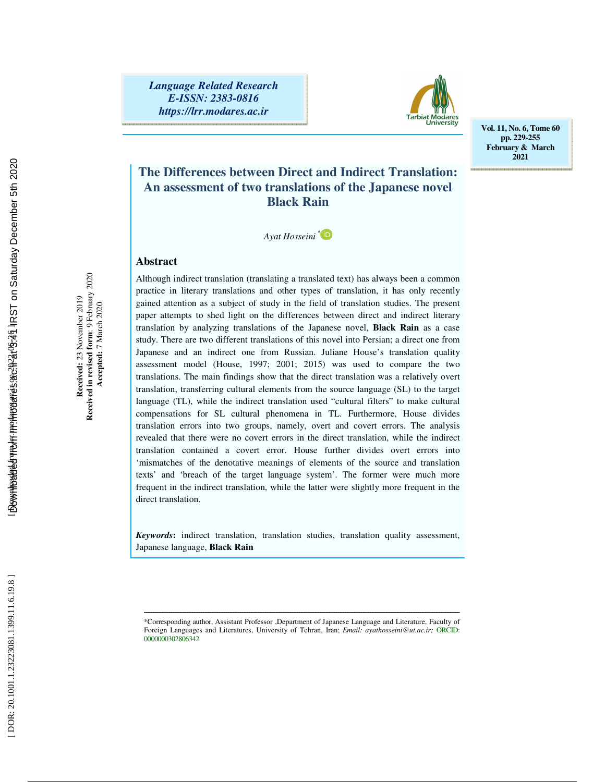*Language Related Research E-ISSN: 2383-0816 https://lrr.modares.ac.ir*



**Vol. 11, No. 6, Tome 60 pp. 229-255 February & March 2021** 

## **The Differences between Direct and Indirect Translation: An assessment of two translations of the Japanese novel Black Rain**

*Ayat Hosseini \**

## **Abstract**

Although indirect translation (translating a translated text) has always been a common practice in literary translations and other types of translation, it has only recently gained attention as a subject of study in the field of translation studies. The present paper attempts to shed light on the differences between direct and indirect literary translation by analyzing translations of the Japanese novel, **Black Rain** as a case study. There are two different translations of this novel into Persian; a direct one from Japanese and an indirect one from Russian. Juliane House's translation quality assessment model (House, 1997; 2001; 2015) was used to compare the two translations. The main findings show that the direct translation was a relatively overt translation, transferring cultural elements from the source language (SL) to the target language (TL), while the indirect translation used "cultural filters" to make cultural compensations for SL cultural phenomena in TL. Furthermore, House divides translation errors into two groups, namely, overt and covert errors. The analysis revealed that there were no covert errors in the direct translation, while the indirect translation contained a covert error. House further divides overt errors into 'mismatches of the denotative meanings of elements of the source and translation texts' and 'breach of the target language system'. The former were much more frequent in the indirect translation, while the latter were slightly more frequent in the direct translation.

*Keywords***:** indirect translation, translation studies, translation quality assessment, Japanese language, **Black Rain**

 **Accepted:** 7 March 2020

ــــــــــــــــــــــــــــــــــــــــــــــــــــــــــــــــــــــــــــــــــــــــــــــــــــــــــــــــــــــــــــــــــــــــــ \*Corresponding author, Assistant Professor ,Department of Japanese Language and Literature, Faculty of Foreign Languages and Literatures, University of Tehran, Iran; *Email: ayathosseini@ut.ac.ir;* ORCID: 000000302806342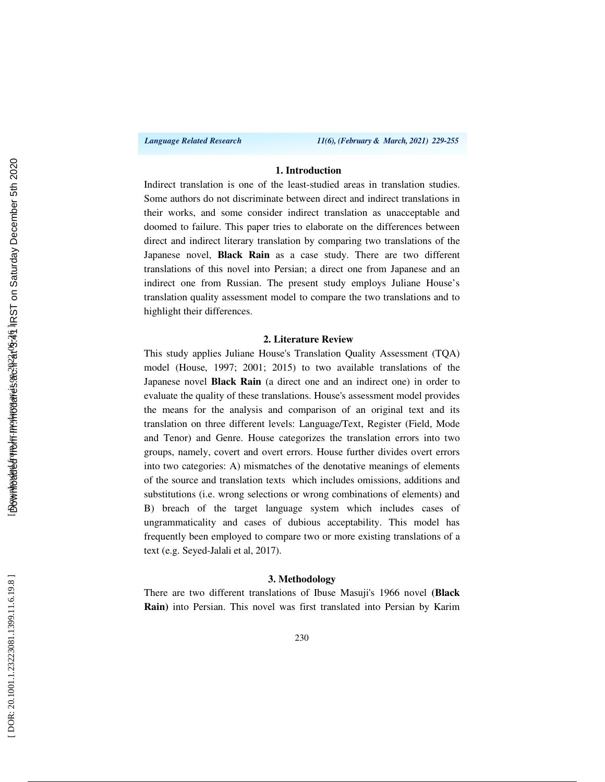*Language Related Research 11(6), (February & March, 2021) 229-255*

## **1. Introduction**

Indirect translation is one of the least-studied areas in translation studies. Some authors do not discriminate between direct and indirect translations in their works, and some consider indirect translation as unacceptable and doomed to failure. This paper tries to elaborate on the differences between direct and indirect literary translation by comparing two translations of the Japanese novel, **Black Rain** as a case study. There are two different translations of this novel into Persian; a direct one from Japanese and an indirect one from Russian. The present study employs Juliane House's translation quality assessment model to compare the two translations and to highlight their differences.

## **2. Literature Review**

This study applies Juliane House's Translation Quality Assessment (TQA) model (House, 1997; 2001; 2015) to two available translations of the Japanese novel **Black Rain** (a direct one and an indirect one) in order to evaluate the quality of these translations. House's assessment model provides the means for the analysis and comparison of an original text and its translation on three different levels: Language/Text, Register (Field, Mode and Tenor) and Genre. House categorizes the translation errors into two groups, namely, covert and overt errors. House further divides overt errors into two categories: A) mismatches of the denotative meanings of elements of the source and translation texts which includes omissions, additions and substitutions (i.e. wrong selections or wrong combinations of elements) and B) breach of the target language system which includes cases of ungrammaticality and cases of dubious acceptability. This model has frequently been employed to compare two or more existing translations of a text (e.g. Seyed-Jalali et al, 2017).

#### **3. Methodology**

There are two different translations of Ibuse Masuji's 1966 novel **(Black Rain)** into Persian. This novel was first translated into Persian by Karim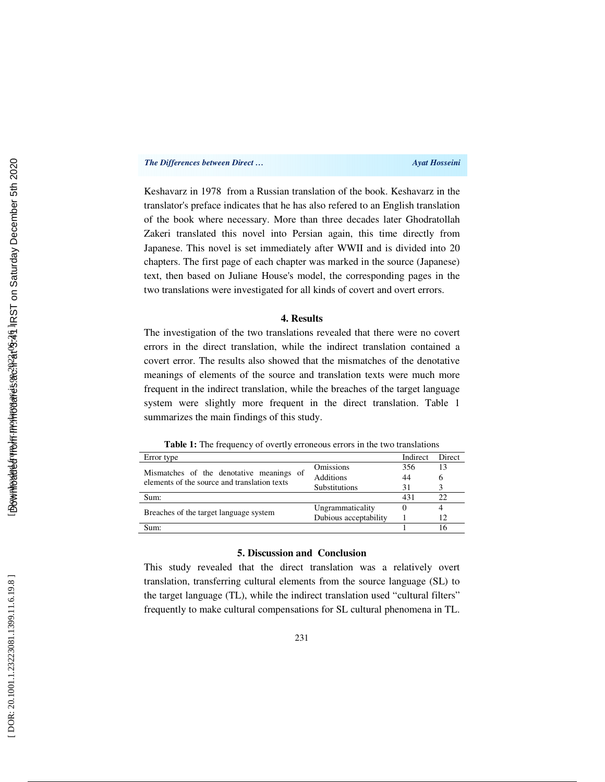#### *The Differences between Direct …* Ayat Hosseini *Ayat Hosseini*

Keshavarz in 1978 from a Russian translation of the book. Keshavarz in the translator's preface indicates that he has also refered to an English translation of the book where necessary. More than three decades later Ghodratollah Zakeri translated this novel into Persian again, this time directly from Japanese. This novel is set immediately after WWII and is divided into 20 chapters. The first page of each chapter was marked in the source (Japanese) text, then based on Juliane House's model, the corresponding pages in the two translations were investigated for all kinds of covert and overt errors.

#### **4. Results**

The investigation of the two translations revealed that there were no covert errors in the direct translation, while the indirect translation contained a covert error. The results also showed that the mismatches of the denotative meanings of elements of the source and translation texts were much more frequent in the indirect translation, while the breaches of the target language system were slightly more frequent in the direct translation. Table 1 summarizes the main findings of this study.

**Table 1:** The frequency of overtly erroneous errors in the two translations

| Error type                                                                               |                       | Indirect | Direct |
|------------------------------------------------------------------------------------------|-----------------------|----------|--------|
| Mismatches of the denotative meanings of<br>elements of the source and translation texts | <b>Omissions</b>      | 356      | 13     |
|                                                                                          | <b>Additions</b>      | 44       | 6      |
|                                                                                          | <b>Substitutions</b>  | 31       |        |
| Sum:                                                                                     |                       | 431      | 22     |
| Breaches of the target language system                                                   | Ungrammaticality      |          |        |
|                                                                                          | Dubious acceptability |          | 12     |
| Sum:                                                                                     |                       |          | 16     |

## **5. Discussion and Conclusion**

This study revealed that the direct translation was a relatively overt translation, transferring cultural elements from the source language (SL) to the target language (TL), while the indirect translation used "cultural filters" frequently to make cultural compensations for SL cultural phenomena in TL.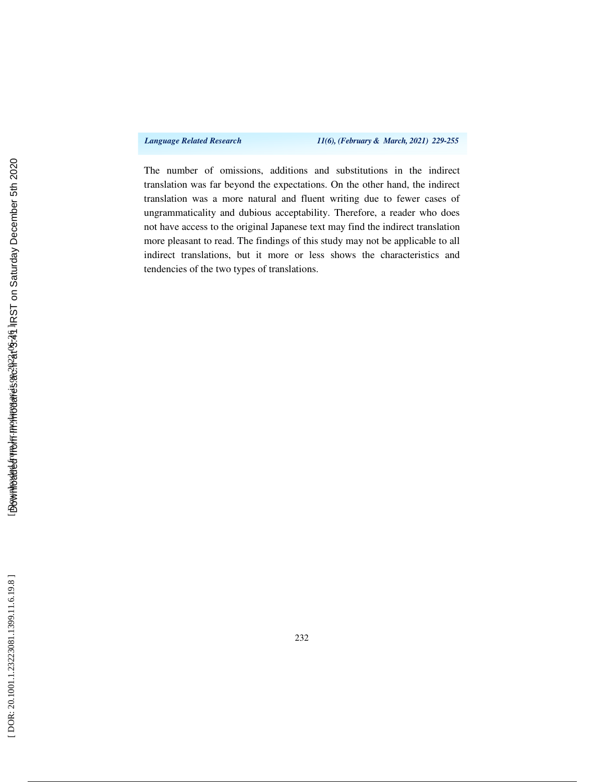*Language Related Research 11(6), (February & March, 2021) 229-255*

The number of omissions, additions and substitutions in the indirect translation was far beyond the expectations. On the other hand, the indirect translation was a more natural and fluent writing due to fewer cases of ungrammaticality and dubious acceptability. Therefore, a reader who does not have access to the original Japanese text may find the indirect translation more pleasant to read. The findings of this study may not be applicable to all indirect translations, but it more or less shows the characteristics and tendencies of the two types of translations.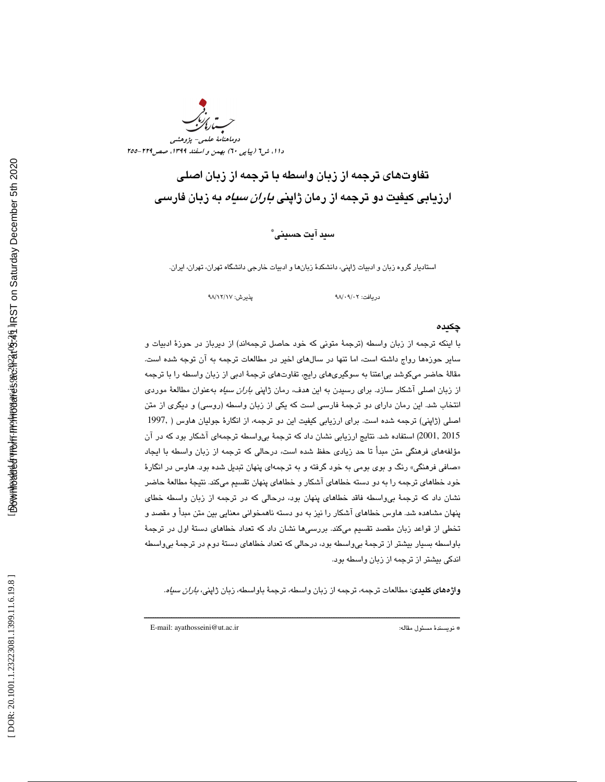DOR: 20.1001.1.23223081.1399.11.6.19.8]



تفاوتهاي ترجمه از زبان واسطه با ترجمه از زبان اصلي ارزيابی کيفيت دو ترجمه از رمان ژاپن*ی باران سياه* به زبان فارس*ی* 

سيد آيت حسيني \*

استاديار گروه زبان و ادبيات ژاپني، دانشكدة زبانها و ادبيات خارجي دانشگاه تهران، تهران، ايران .

98 پذيرش: 17/ 12/ 98

دريافت: ۰۹/۰۲/

#### چكيده

با اينكه ترجمه از زبان واسطه (ترجمهٔ متونی كه خود حاصل ترجمهاند) از ديرباز در حوزهٔ ادبيات و ساير حوزهها رواج داشته است، اما تنها در سالهاي اخير در مطالعات ترجمه به آن توجه شده است. مقالهٔ حاضر ميكوشد بي|عتنا به سوگيريهاي رايج، تفاوتهاي ترجمهٔ ادبي از زبان واسطه را با ترجمه از زبان اصلی آشکار سازد. برای رسیدن به این هدف، رمان ژاپنی *باران سیاه* بهعنوان مطالعهٔ موردی انتخاب شد. اين رمان داراي دو ترجمهٔ فارسي است كه يكي از زبان واسطه (روسي) و ديگري از متن اصلي (ژاپني) ترجمه شده است. براي ارزيابي كيفيت اين دو ترجمه، از انگار ة جوليان هاوس ( 1997, 2001, 2015) استفاده شد. نتايج ارزيابي نشان داد كه ترجمهٔ بيواسطه ترجمهاي آشكار بود كه در آن مؤلفههاي فرهنگي متن مبدأ تا حد زيادي حفظ شده است، درحالي كه ترجمه از زبان واسطه با ايجاد «صافی فرهنگی» رنگ و بوی بومی به خود گرفته و به ترجمهای پنهان تبدیل شده بود. هاوس در انگارهٔ خود خطاهاي ترجمه را به دو دسته خطاهاي آشكار و خطاهاي پنهان تقسيم ميكند. نتيجهٔ مطالعهٔ حاضر نشان داد كه ترجمهٔ بي $\epsilon$ اسطه فاقد خطاهاي پنهان بود، درحالي كه در ترجمه از زبان واسطه خطاي پنهان مشاهده شد. هاوس خطاهاي آشكار را نيز به دو دسته ناهمخواني معنايي بين متن مبدأ و مقصد و تخطي از قواعد زبان مقصد تقسيم ميكند. بررسيها نشان داد كه تعداد خطاهاي دستة اول در ترجمة باواسطه بسيار بيشتر از ترجمهٔ بي واسطه بود، درحالي كه تعداد خطاهاي دستهٔ دوم در ترجمهٔ بي واسطه اندكي بيشتر از ترجمه از زبان واسطه بود.

**واژههای کلیدی**: مطالعات ترجمه، ترجمه از زبان واسطه، ترجمهٔ باواسطه، زبان ژاپن*ی، باران سیاه.* 

ــــــــــــــــــــــــــــــــــــــــــــــــــــــــــــــــــــــــــــــــــــــــــــــــــــــــــــــــــــــــــــــــــــــــــ

E-mail: ayathosseini@ut.ac.ir :مقاله مسئول نويسندة\*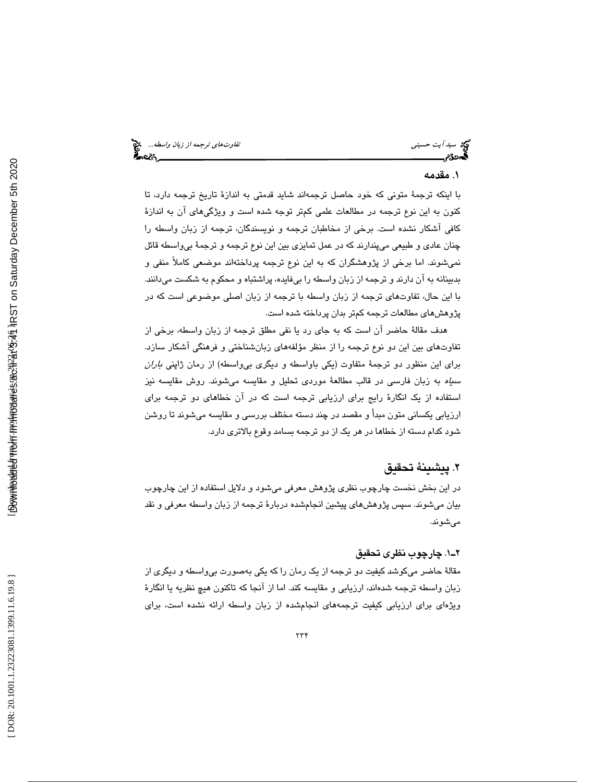## . مقدمه 1

با اينكه ترجمة متوني كه خود حاصل ترجمهاند شايد قدمتي به اندازة تاريخ ترجمه دارد، تا كنون به اين نوع ترجمه در مطالعات علمي كمتر توجه شده است و ويژگيهاي آن به اندازة كافي آشكار نشده است. برخي از مخاطبان ترجمه و نويسندگان، ترجمه از زبان واسطه را چنان عادي و طبيعي ميپندارند كه در عمل تمايزي بين اين نوع ترجمه و ترجمة بيواسطه قائل نميشوند. اما برخي از پژوهشگران كه به اين نوع ترجمه پرداختهاند موضعي كاملاً منفي و بدبينانه به آن دارند و ترجمه از زبان واسطه را بيفايده، پراشتباه و محكوم به شكست ميدانند. با اين حال، تفاوتهاي ترجمه از زبان واسطه با ترجمه از زبان اصلي موضوعي است كه در پژوهشهاي مطالعات ترجمه كمتر بدان پرداخته شده است.

هدف مقالة حاضر آن است كه به جاي رد يا نفي مطلق ترجمه از زبان واسطه، برخي از تفاوتهاي بين اين دو نوع ترجمه را از منظر مؤلفههاي زبانشناختي و فرهنگي آشكار سازد. براي اين منظور دو ترجمة متفاوت (يكي باواسطه و ديگري بيواسطه) از رمان ژاپني باران سياه به زبان فارسي در قالب مطالعة موردي تحليل و مقايسه ميشوند. روش مقايسه نيز استفاده از يك انگارة رايج براي ارزيابي ترجمه است كه در آن خطاهاي دو ترجمه براي ارزيابي يكساني متون مبدأ و مقصد در چند دسته مختلف بررسي و مقايسه ميشوند تا روشن شود كدام دسته از خطاها در هر يك از دو ترجمه بسامد وقوع بالاتري دارد.

## . پيشينة تحقيق 2

در اين بخش نخست چارچوب نظري پژوهش معرفي ميشود و دلايل استفاده از اين چارچوب بيان ميشوند. سپس پژوهشهاي پيشين انجامشده دربارة ترجمه از زبان واسطه معرفي و نقد ميشوند.

## 1ـ2 . چارچوب نظري تحقيق

مقالة حاضر ميكوشد كيفيت دو ترجمه از يك رمان را كه يكي بهصورت بيواسطه و ديگري از زبان واسطه ترجمه شدهاند، ارزيابي و مقايسه كند. اما از آنجا كه تاكنون هيچ نظريه يا انگارة ويژهاي براي ارزيابي كيفيت ترجمههاي انجامشده از زبان واسطه ارائه نشده است، براي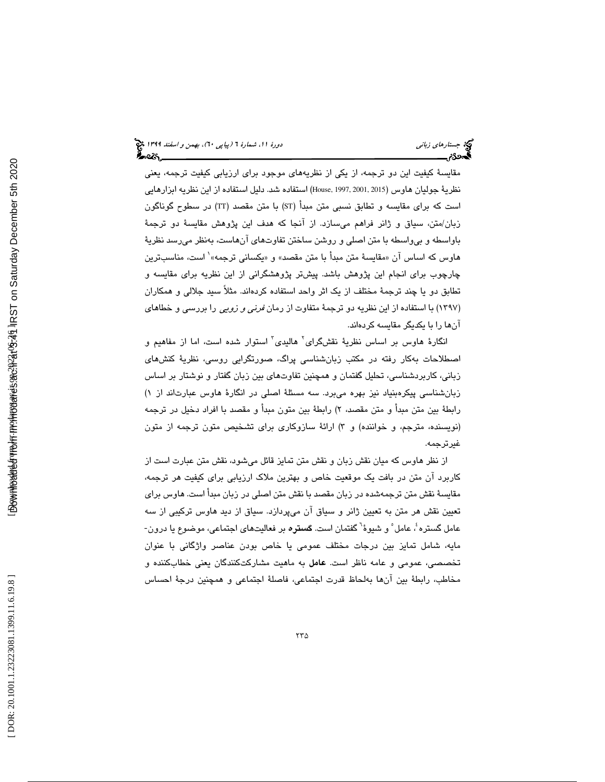مقايسة كيفيت اين دو ترجمه، از يكي از نظريههاي موجود براي ارزيابي كيفيت ترجمه، يعني نظرية جوليان هاوس (2015, 2001, 2015)House, 1997, 2001, 2015) استفاده از اين نظريه ابزارهايي است كه براي مقايسه و تطابق نسبي متن مبدأ (ST (با متن مقصد (TT (در سطوح گوناگون زبان/متن، سياق و ژانر فراهم میسازد. از انجا كه هدف اين پژوهش مقايسهٔ دو ترجمهٔ باواسطه و بیeاسطه با متن اصلی و روشن ساختن تفاوتهای انهاست، بهنظر میرسد نظریهٔ<br>هاوس که اساس آن «مقایسهٔ متن مبدأ با متن مقصد» و «یکسانی ترجمه» ٰ است، مناسبترین چارچوب براي انجام اين پژوهش باشد. پيشتر پژوهشگراني از اين نظريه براي مقايسه و تطابق دو يا چند ترجمة مختلف از يك اثر واحد استفاده كردهاند. مثلاً سيد جلالي و همكاران (۱۳۹۷) با استفاده از این نظریه دو ترجمهٔ متفاوت از رمان *فرنی و زویی* را بررسی و خطاهای آنها را با يكديگر مقايسه كردهاند.

انگارهٔ هاوس بر اساس نظريهٔ نقشگرای<sup>٬</sup> هاليدی<sup>٬</sup> استوار شده است، اما از مفاهيم و اصطلاحات بهكار رفته در مكتب زبانشناسي پراگ، صورتگرايي روسي، نظرية كنشهاي زباني، كاربردشناسي، تحليل گفتمان و همچنين تفاوتهاي بين زبان گفتار و نوشتار بر اساس زبانشناسي پيكرهبنياد نيز بهره ميبرد. سه مسئلة اصلي در انگارة هاوس عبارتاند از ) 1 رابطهٔ بین متن مبدا و متن مقصد، ۲) رابطهٔ بین متون مبدا و مقصد با افراد دخیل در ترجمه (نویسنده، مترجم، و خواننده) و ۳) ارائهٔ سازوکاری برای تشخیص متون ترجمه از متون غيرترجمه.

از نظر هاوس كه ميان نقش زبان و نقش متن تمايز قائل ميشود، نقش متن عبارت است از كاربرد آن متن در بافت يك موقعيت خاص و بهترين ملاك ارزيابي براي كيفيت هر ترجمه، مقايسة نقش متن ترجمهشده در زبان مقصد با نقش متن اصلي در زبان مبدأ است. هاوس براي تعيين نقش هر متن به تعيين ژانر و سياق آن ميپردازد. سياق از ديد هاوس تركيبي از سه عامل گستره ٔ، عامل ْ و شیوهٔ<sup>٦</sup> گفتمان است. **گستره** بر فعالیتهای اجتماعی، موضوع یا درون-مايه، شامل تمايز بين درجات مختلف عمومي يا خاص بودن عناصر واژگاني با عنوان تخصصي، عمومي و عامه ناظر است. عامل به ماهيت مشاركتكنندگان يعني خطابكننده و مخاطب، رابطة بين آنها بهلحاظ قدرت اجتماعي، فاصلة اجتماعي و همچنين درجة احساس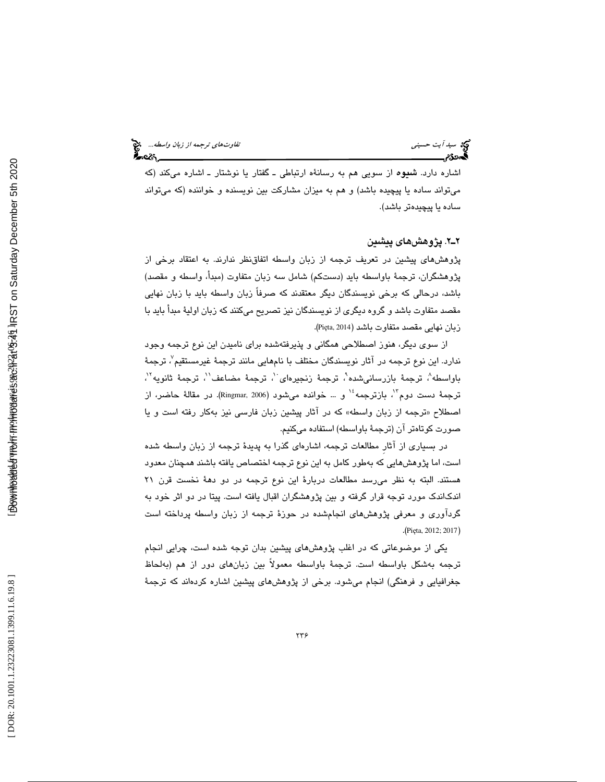اشاره دارد. شيوه از سويي هم به رسانةه ارتباطي ـ گفتار يا نوشتار ـ اشاره ميكند ( كه میتواند ساده یا پیچیده باشد) و هم به میزان مشارکت بین نویسنده و خواننده (که میتواند ساده يا پيچيدهتر باشد).

2ـ2 . پژوهشهاي پيشين

پژوهشهاي پيشين در تعريف ترجمه از زبان واسطه اتفاقنظر ندارند. به اعتقاد برخي از پژوهشگران، ترجمة باواسطه بايد (دستكم) شامل سه زبان متفاوت (مبدأ، واسطه و مقصد) باشد، درحالي كه برخي نويسندگان ديگر معتقدند كه صرفاً زبان واسطه بايد با زبان نهايي مقصد متفاوت باشد و گروه ديگري از نويسندگان نيز تصريح ميكنند كه زبان اوليهٔ مبدأ بايد با .( Pi ęta, 2014 زبان نهايي مقصد متفاوت باشد (

از سوي ديگر، هنوز اصطلاحي همگاني و پذيرفتهشده براي ناميدن اين نوع ترجمه وجود ندارد. اين نوع ترجمه در آثار نويسندگان مختلف با نامهايی مانند ترجمهٔ غيرمستقيم $^\vee$ ، ترجمهٔ باواسطه"، ترجمهٔ بازرسانیشده"، ترجمهٔ زنجیرهای ``، ترجمهٔ مضاعف'`، ترجمهٔ ثانویه'``، ترجمهٔ دست دوم ٌ`، بازترجمه ٔ`` و … خوانده میشود (Ringmar, 2006). در مقالهٔ حاضر، از اصطلاح «ترجمه از زبان واسطه» كه در اثار پیشین زبان فارسی نیز بهكار رفته است و یا صورت كوتاهتر آن (ترجمة باواسطه) استفاده ميكنيم.

در بسياري از آثارِ مطالعات ترجمه، اشارهاي گذرا به پديدة ترجمه از زبان واسطه شده است، اما پژوهشهايي كه بهطور كامل به اين نوع ترجمه اختصاص يافته باشند همچنان معدود هستند. البته به نظر میرسد مطالعات دربارهٔ این نوع ترجمه در دو دههٔ نخست قرن ۲۱ اندكاندك مورد توجه قرار گرفته و بين پژوهشگران اقبال يافته است. پيتا در دو اثر خود به گردآوري و معرفي پژوهشهاي انجامشده در حوزة ترجمه از زبان واسطه پرداخته است .( Pi ęta, 2012; 2017 )

يكي از موضوعاتي كه در اغلب پژوهشهاي پيشين بدان توجه شده است، چرايي انجام ترجمه بهشكل باواسطه است. ترجمة باواسطه معمولاً بين زبانهاي دور از هم (بهلحاظ جغرافيايي و فرهنگي) انجام ميشود. برخي از پژوهش هاي پيشين اشاره كردهاند كه ترجمهٔ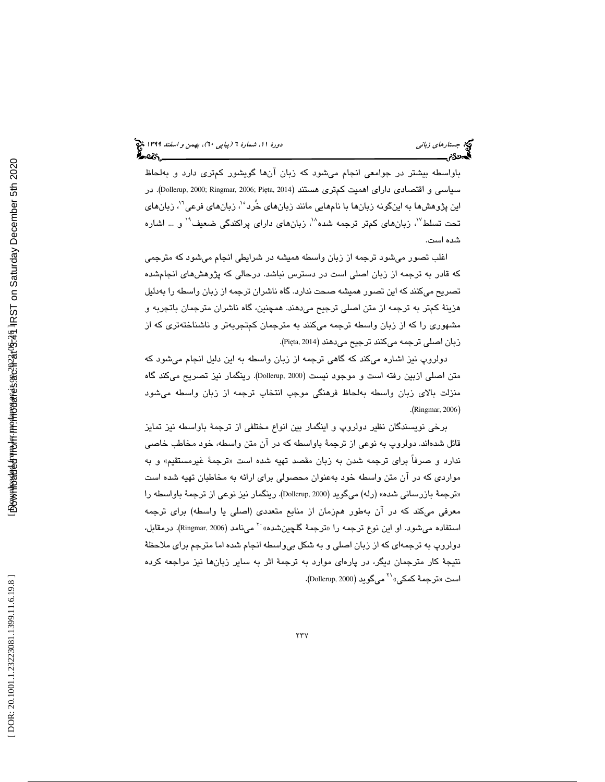باواسطه بيشتر در جوامعي انجام ميشود كه زبان آنها گويشور كمتري دارد و بهلحاظ سياسي و اقتصادي داراي اهميت كمترى هستند (Dollerup, 2000; Ringmar, 2006; Pięta, 2014). در اين پژوهشها به اينگونه زبانها با نامهايي مانند زبانهاي خُرد<sup>٠٬</sup>، زبانهاي فرعي<sup>٢</sup>، زبانهاي تحت تسلط $^{\prime\prime}$ ، زبانهای کمتر ترجمه شده $^{\prime\prime}$ ، زبانهای دارای پراکندگی ضعیف $^{\prime\prime}$  و … اشاره شده است.

اغلب تصور ميشود ترجمه از زبان واسطه هميشه در شرايطي انجام ميشود كه مترجمي كه قادر به ترجمه از زبان اصلي است در دسترس نباشد. درحالي كه پژوهشهاي انجامشده تصريح ميكنند كه اين تصور هميشه صحت ندارد. گاه ناشران ترجمه از زبان واسطه را بهدليل هزينة كمتر به ترجمه از متن اصلي ترجيح ميدهند. همچنين، گاه ناشران مترجمان باتجربه و مشهوري را كه از زبان واسطه ترجمه ميكنند به مترجمان كمتجربهتر و ناشناختهتري كه از زبان اصلي ترجمه ميكنند ترجيح ميدهند (Pięta, 2014).

دولروپ نيز اشاره ميكند كه گاهي ترجمه از زبان واسطه به اين دليل انجام ميشود كه متن اصلي ازبين رفته است و موجود نيست (Dollerup, 2000). رينگمار نيز تصريح ميكند گاه منزلت بالاي زبان واسطه بهلحاظ فرهنگي موجب انتخاب ترجمه از زبان واسطه ميشود .( Ringmar, 2006 )

برخي نويسندگان نظير دولروپ و اينگمار بين انواع مختلفي از ترجمة باواسطه نيز تمايز قائل شدهاند. دولروپ به نوعي از ترجمة باواسطه كه در آن متن واسطه، خود مخاطب خاصي ندارد و صرفاً برای ترجمه شدن به زبان مقصد تهیه شده است «ترجمهٔ غیرمستقیم» و به مواردي كه در آن متن واسطه خود بهعنوان محصولي براي ارائه به مخاطبان تهيه شده است «ترجمهٔ بازرساني شده» (رله) ميگويد (Dollerup, 2000). رينگمار نيز نوعي از ترجمهٔ باواسطه را معرفی میکند که در آن بهطور همزمان از منابع متعددی (اصلی یا واسطه) برای ترجمه<br>استفاده میشود. او این نوع ترجمه را «ترجمهٔ گلچینشده» `` مینامد (Ringmar, 2006). درمقابل، دولروپ به ترجمهاي كه از زبان اصلي و به شكل بيواسطه انجام شده اما مترجم براي ملاحظة نتیجهٔ کار مترجمان دیگر، در پارهای موارد به ترجمهٔ اثر به سایر زبانها نیز مراجعه کرده<br>است «ترجمهٔ کمکی» <sup>۲۱</sup> میگوید (Dollerup, 2000).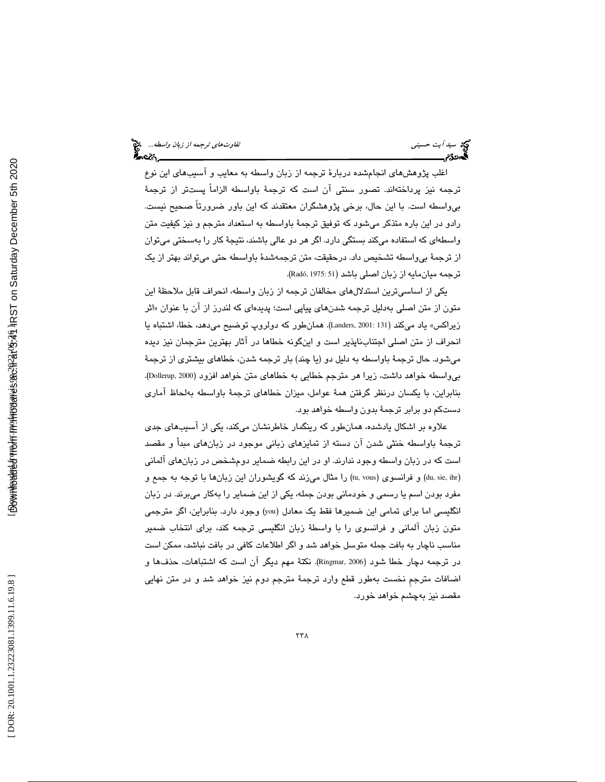اغلب پژوهشهاي انجامشده دربارة ترجمه از زبان واسطه به معايب و آسيبهاي اين نوع ترجمه نيز پرداختهاند. تصور سنتي آن است كه ترجمهٔ باواسطه الزاماً پستتر از ترجمهٔ بيواسطه است با. اين حال، برخي پژوهشگران معتقدند كه اين باور ضرورتاً صحيح نيست. رادو در اين باره متذكر ميشود كه توفيق ترجمة باواسطه به استعداد مترجم و نيز كيفيت متن واسطهای که استفاده میکند بستگی دارد. اگر هر دو عالی باشند، نتیجهٔ کار را بهسختی میتوان از ترجمة بيواسطه تشخيص داد. درحقيقت، متن ترجمهشدة باواسطه حتي ميتواند بهتر از يك ترجمه ميانمايه از زبان اصلي باشد (Radó, 1975: 51).

يكي از اساسيترين استدلالهاي مخالفان ترجمه از زبان واسطه، انحراف قابل ملاحظة اين متون از متن اصلی بهدلیل ترجمه شدنهای پیاپی است؛ پدیدهای که لندرز از ان با عنوان «اثر زيراكس» ياد ميكند (131 2001: ,Landers(. همانطور كه دولروپ توضيح ميدهد، خطا، اشتباه يا انحراف از متن اصلي اجتنابناپذير است و اينگونه خطاها در آثار بهترين مترجمان نيز ديده ميشود. حال ترجمة باواسطه به دليل دو (يا چند) بار ترجمه شدن، خطاهاي بيشتري از ترجمة .(Dollerup, 2000 بيواسطه خواهد داشت، زيرا هر مترجم خطايي به خطاهاي متن خواهد افزود ( بنابراين، با يكسان درنظر گرفتن همة عوامل، ميزان خطاهاي ترجمة باواسطه بهلحاظ آماري دستكم دو برابر ترجمة بدون واسطه خواهد بود.

علاوه بر اشكال يادشده، همانطور كه رينگمار خاطرنشان ميكند، يكي از آسيبهاي جدي ترجمة باواسطه خنثي شدن آن دسته از تمايزهاي زباني موجود در زبانهاي مبدأ و مقصد است كه در زبان واسطه وجود ندارند. او در اين رابطه ضماير دومشخص در زب انهاي آلماني (du, sie, ihr) و فرانسوی (tu, vous) را مثال میزند که گویشوران این زبانها با توجه به جمع و مفرد بودن اسم يا رسمي و خودماني بودن جمله، يكي از اين ضماير را بهكار ميبرند. در زبان انگليسي اما براي تمامي اين ضميرها فقط يك معادل (you (وجود دارد. بنابراين، اگر مترجمي متون زبان آلماني و فرانسوي را با واسطة زبان انگليسي ترجمه كند، براي انتخاب ضمير مناسب ناچار به بافت جمله متوسل خواهد شد و اگر اطلاعات كافي در بافت نباشد، ممكن است در ترجمه دچار خطا شود (2006 ,Ringmar(. نكتة مهم ديگر آن است كه اشتباهات، حذفها و اضافات مترجم نخست به طور قطع وارد ترجمهٔ مترجم دوم نیز خواهد شد و در متن نهایی مقصد نيز بهچشم خواهد خورد.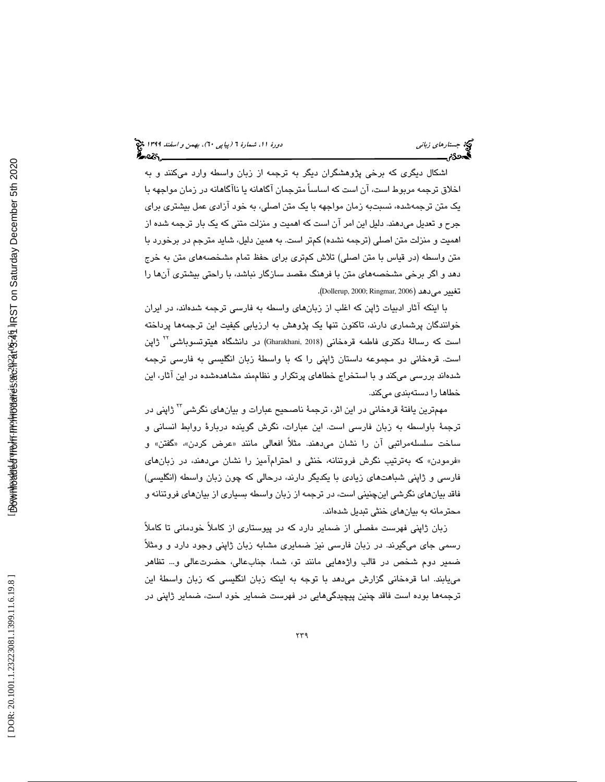اشكال ديگري كه برخي پژوهشگران ديگر به ترجمه از زبان واسطه وارد ميكنند و به اخلاق ترجمه مربوط است، آن است كه اساساً مترجمان آگاهانه يا ناآگاهانه در زمان مواجهه با يك متن ترجمهشده، نسبت به زمان مواجهه با يك متن اصلي، به خود آزادي عمل بيشتري براي جرح و تعديل ميدهند. دليل اين امر آن است كه اهميت و منزلت متني كه يك بار ترجمه شده از اهميت و منزلت متن اصلي ( ترجمه نشده) كم تر است به. همين دليل، ش ايد مترجم در برخورد با متن واسطه ( در قياس با متن اصلي) تلاش كمتري براي حفظ تمام مشخصههاي متن به خرج دهد و اگر برخي مشخصههاي متن با فرهنگ مقصد سازگار نباشد، با راحتي بيشتري آنها را .( Dollerup, 2000; Ringmar, 2006 تغيير ميدهد (

با اينكه آثار ادبيات ژاپن كه اغلب از زبانهاي واسطه به فارسي ترجمه شدهاند، در ايران خوانندگان پرشماري دارند، تاكنون تنها يك پژوهش به ارزيابي كيفيت اين ترجمهها پرداخته است كه رسالهٔ دكترى فاطمه قرهخاني (2018 ,Gharakhani (2018) در دانشگاه هيتوتسوباشي<sup>۲۲</sup> ژاپن است. قرهخاني دو مجموعه داستان ژاپني را كه با واسطة زبان انگليسي به فارسي ترجمه شدهاند بررسي ميكند و با استخراج خطاهاي پرتكرار و نظاممند مشاهدهشده در اين آثار، اين خطاها را دستهبندي ميكند.

مهمترين يافتۀ قرمخاني در اين اثر، ترجمۀ ناصحيح عبارات و بيانهاي نگرشي<sup>۳۲</sup> ژاپني در ترجمة باواسطه به زبان فارسي است. اين عبارات، نگرش گوينده دربارة روابط انساني و ساخت سلسلهمراتبي ان را نشان ميدهند. مثلاً افعالي مانند «عرض كردن»، «گفتن» و «فرمودن» كه بهترتيب نگرش فروتنانه، خنثي و احترام۱ميز را نشان ميدهند، در زبانهاي فارسي و ژاپني شباهتهاي زيادي با يكديگر دارند، درحالي كه چون زبان واسطه (انگليسي) فاقد بيانهاي نگرشي اينچنيني است، در ترجمه از زبان واسطه بسياري از بيانهاي فروتنانه و محترمانه به بيانهاي خنثي تبديل شدهاند.

زبان ژاپني فهرست مفصلي از ضماير دارد كه در پيوستاري از كاملاً خودماني تا كاملاً رسمي جاي ميگيرند. در زبان فارسي نيز ضمايري مشابه زبان ژاپني وجود دارد و ومثلاً ضمير دوم شخص در قالب واژههايي مانند تو، شما، جنابعالي، حضرتعالي و... تظاهر مييابند. اما قرهخاني گزارش ميدهد با توجه به اينكه زبان انگليسي كه زبان واسطة اين ترجمهها بوده است فاقد چنين پيچيدگيهايي در فهرست ضماير خود است، ضماير ژاپني در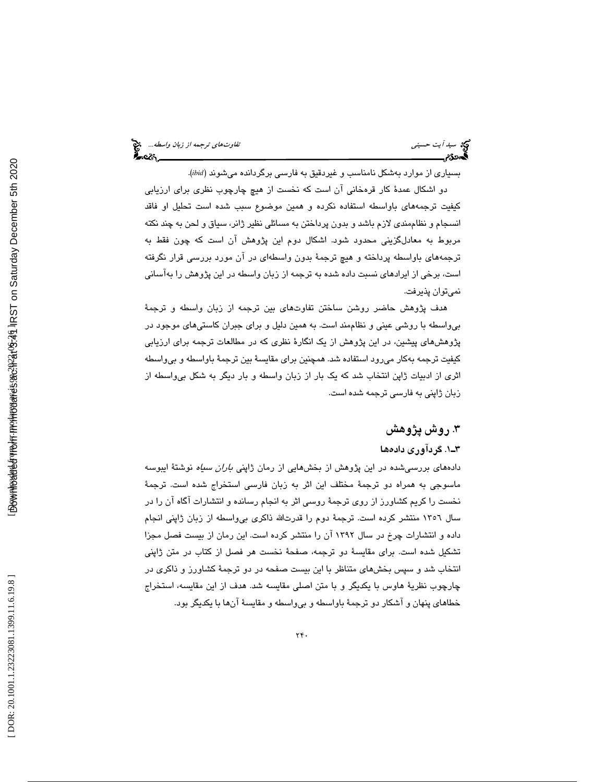بسياري از موارد بهشكل نامناسب و غيردقيق به فارسي برگردانده ميشوند (*ibid* .(

دو اشكال عمدة كار قرهخاني آن است كه نخست از هيچ چارچوب نظري براي ارزيابي كيفيت ترجمههاي باواسطه استفاده نكرده و همين موضوع سبب شده است تحليل او فاقد انسجام و نظاممندي لازم باشد و بدون پرداختن به مسائلي نظير ژانر، سياق و لحن به چند نكته مربوط به معادلگزيني محدود شود. اشكال دوم اين پژوهش آن است كه چون فقط به ترجمههای باواسطه پرداخته و هیچ ترجمهٔ بدون واسطهای در آن مورد بررسی قرار نگرفته است، برخي از ايرادهاي نسبت داده شده به ترجمه از زبان واسطه در اين پژوهش را بهآساني نميتوان پذيرفت.

هدف پژوهش حاضر روشن ساختن تفاوتهاي بين ترجمه از زبان واسطه و ترجمة بيواسطه با روشي عيني و نظاممند است. به همين دليل و براي جبران كاستيهاي موجود در پژوهشهاي پيشين، در اين پژوهش از يك انگارة نظري كه در مطالعات ترجمه براي ارزيابي كيفيت ترجمه بهكار ميرود استفاده شد. همچنين براي مقايسة بين ترجمة باواسطه و بيواسطه اثري از ادبيات ژاپن انتخاب شد كه يك بار از زبان واسطه و بار ديگر به شكل بيواسطه از زبان ژاپني به فارسي ترجمه شده است.

## .3 روش پژوهش

## 1ـ3 ها . گردآوري داده

دادههای بررسیشده در این پژوهش از بخشهایی از رمان ژاپن*ی باران سیاه* نوشتهٔ ایبوسه ماسوجي به همراه دو ترجمة مختلف اين اثر به زبان فارسي استخراج شده است. ترجمة نخست را كريم كشاورز از روي ترجمة روسي اثر به انجام رسانده و انتشارات آگاه آن را در سال 1356 منتشر كرده است. ترجمة دوم را قدرتاالله ذاكري بيواسطه از زبان ژاپني انجام داده و انتشارات چرخ در سال 1392 آن را منتشر كرده است. اين رمان از بيست فصل مجزا تشكيل شده است. براي مقايسة دو ترجمه، صفحة نخست هر فصل از كتاب در متن ژاپني انتخاب شد و سپس بخشهاي متناظر با اين بيست صفحه در دو ترجمة كشاورز و ذاكري در چارچوب نظرية هاوس با يكديگر و با متن اصلي مقايسه شد. هدف از اين مقايسه، استخراج خطاهاي پنهان و آشكار دو ترجمة باواسطه و بيواسطه و مقايسة آنها با يكديگر بود.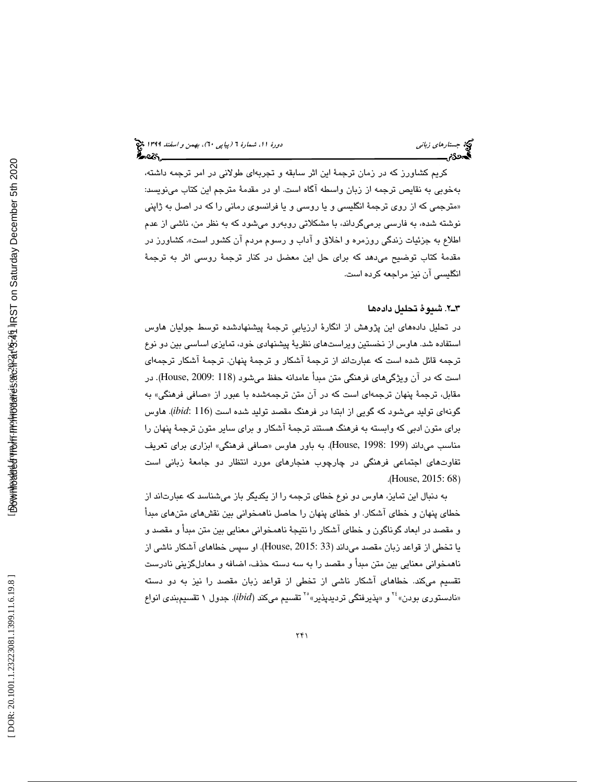كريم كشاورز كه در زمان ترجمة اين اثر سابقه و تجربهاي طولاني در امر ترجمه داشته، بهخوبي به نقايص ترجمه از زبان واسطه آگاه است. او در مقدمة مترجم اين كتاب مينويسد: «مترجمی که از روی ترجمهٔ انگلیسی و یا روسی و یا فرانسوی رمانی را که در اصل به ژاپنی نوشته شده، به فارسي برميگرداند، با مشكلاتي روبهرو ميشود كه به نظر من، ناشي از عدم اطلاع به جزئيات زندگي روزمره و اخلاق و آداب و رسوم مردم آن كشور است». كشاورز در مقدمة كتاب توضيح ميدهد كه براي حل اين معضل در كنار ترجمة روسي اثر به ترجمة انگليسي آن نيز مراجعه كرده است.

## 2ـ3 ها . شيوة تحليل داده

در تحليل دادههاي اين پژوهش از انگارة ارزيابيِ ترجمة پيشنهادشده توسط جوليان هاوس استفاده شد. هاوس از نخستين ويراستهاي نظرية پيشنهادي خود، تمايزي اساسي بين دو نوع ترجمه قائل شده است كه عبارتاند از ترجمة آشكار و ترجمة پنهان. ترجمة آشكار ترجمه اي است كه در آن ويژگيهاي فرهنگي متن مبدأ عامدانه حفظ ميشود (House, 2009: 118). در مقابل، ترجمهٔ پنهان ترجمهای است كه در آن متن ترجمهشده با عبور از «صافی فرهنگی» به گونه اي توليد ميشود كه گويي از ابتدا در فرهنگ مقصد توليد شده است (116 :*ibid*(. هاوس براي متون ادبي كه وابسته به فرهنگ هستند ترجمة آشكار و براي ساير متون ترجمة پنهان را مناسب مي داند (199 :House, 1998). به باور هاوس «صافي فرهنگي» ابزاري براي تعريف تفاوت های اجتماعی فرهنگی در چارچوب هنجارهای مورد انتظار دو جامعهٔ زبانی است .( House, 2015: 68 )

به دنبال اين تمايز، هاوس دو نوع خطاي ترجمه را از يكديگر باز ميشناسد كه عبارتاند از خطاي پنهان و خطاي آشكار. او خطاي پنهان را حاصل ناهمخواني بين نقشهاي متنهاي مبدأ و مقصد در ابعاد گوناگون و خطاي آشكار را نتيجة ناهمخواني معنايي بين متن مبدأ و مقصد و يا تخطي از قواعد زبان مقصد ميداند (33 2015: ,House(. او سپس خطاهاي آشكار ناشي از ناهمخواني معنايي بين متن مبدأ و مقصد را به سه دسته حذف، اضافه و معادلگزيني نادرست تقسیم میکند. خطاهای اشکار ناشی از تخطی از قواعد زبان مقصد را نیز به دو دسته<br>«نادستوری بودن»<sup>۲</sup>۰ و «پذیرفتگی تردیدپذیر»<sup>۲۰</sup> تقسیم میکند (*ibid).* جدول ۱ تقسیمېندی انواع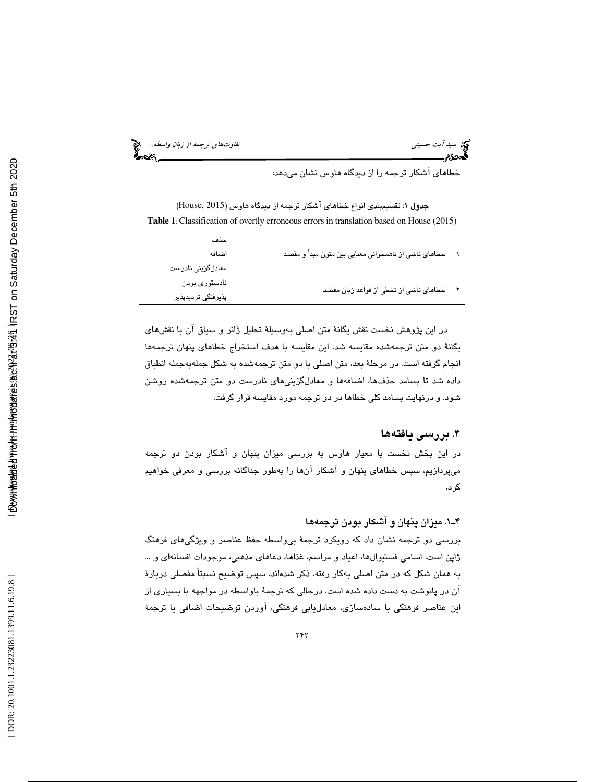سيد آيت حسين*ي توجه از زبان واسطه...*. هي تفاوتهاي ترجمه *از زبان واسطه...*. هي تفاوت المسيح الترجمه از زبان *واسطه...*<br>**الصحوة م**سيح الترجم

خطاهاي آشكار ترجمه را از ديدگاه هاوس نشان ميدهد:

(House, 2015 جدول 1: تقسيمبندي انواع خطاهاي آشكار ترجمه از ديدگاه هاوس ( **Table 1** : Classification of overtly erroneous errors in translation based on House (2015)

| خطاهای ناشی از ناهمخوانی معنایی بین متون مبدأ و مقصد<br>اضافه                 |  |
|-------------------------------------------------------------------------------|--|
| معادلگزینی نادرست                                                             |  |
| نادستوری بودن<br>خطاهای ناشی از تخطی از قواعد زبان مقصد<br>پذیرفتگی تردیدپذیر |  |

در اين پژوهش نخست نقش يگانة متن اصلي بهوسيلة تحليل ژانر و سياق آن با نقشهاي يگانة دو متن ترجمهشده مقايسه شد. اين مقايسه با هدف استخراج خطاهاي پنهان ترجمهها انجام گرفته است. در مرحلة بعد، متن اصلي با دو متن ترجمه به شده به شكل جمله جمله انطباق داده شد تا بسامد حذفها، اضافهها و معادلگزينيهاي نادرست دو متن ترجمهشده روشن شود. و درنهايت بسامد كلي خطاها در دو ترجمه مورد مقايسه قرار گرفت.

## . بررسي يافته ها 4

در اين بخش نخست با معيار هاوس به بررسي ميزان پنهان و آشكار بودن دو ترجمه ميپردازيم، سپس خطاهاي پنهان و آشكار آنها را بهطور جداگانه بررسي و معرفي خواهيم كرد.

## 1ـ4 ها . ميزان پنهان و آشكار بودن ترجمه

بررسي دو ترجمه نشان داد كه رويكرد ترجمة بيواسطه حفظ عناصر و ويژگيهاي فرهنگ ژاپن است. اسامي فستيوالها، اعياد و مراسم، غذاها، دعاهاي مذهبي، موجودات افسانهاي و ... به همان شكل كه در متن اصلي بهكار رفته، ذكر شدهاند، سپس توضيح نسبتاً مفصلي دربارة آن در پانوشت به دست داده شده است. درحالي كه ترجمة باواسطه در مواجهه با بسياري از اين عناصر فرهنگي با سادهسازي، معادليابي فرهنگي، آوردن توضيحات اضافي يا ترجمة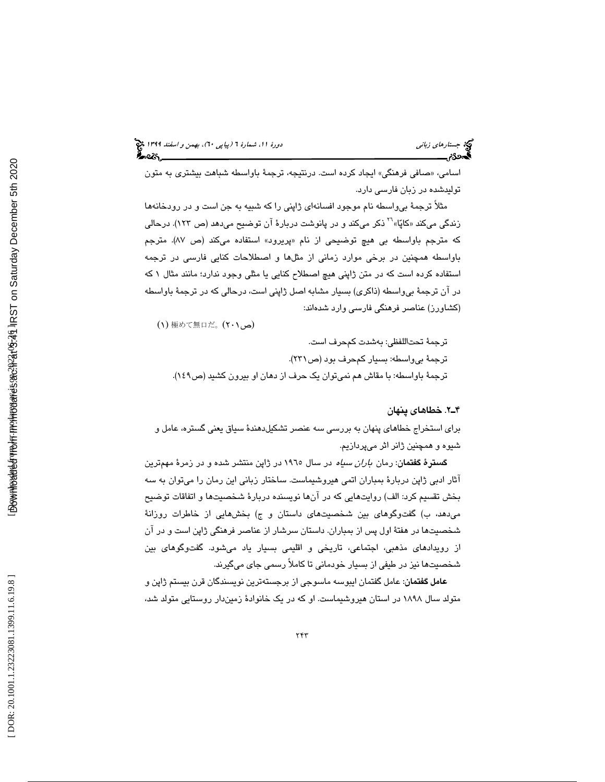اسامی، «صافی فرهنگی» ایجاد کرده است. درنتیجه، ترجمهٔ باواسطه شباهت بیشتری به متون توليدشده در زبان فارسي دارد.

مثلاً ترجمهٔ بی $e$ اسطه نام موجود افسانهای ژاپنی را که شبیه به جن است و در رودخانهها<br>زندگی میکند «کاپّا» <sup>۲</sup>۱ ذکر میکند و در پانوشت دربارهٔ آن توضیح میدهد (ص ۱۲۳). درحالی که مترجم باواسطه بی هیچ توضیحی از نام «پریرود» استفاده میکند (ص ۸۷). مترجم باواسطه همچنين در برخي موارد زماني از مثلها و اصطلاحات كنايي فارسي در ترجمه استفاده كرده است كه در متن ژاپني هيچ اصطلاح كنايي يا مثلي وجود ندارد؛ مانند مثال 1 كه در آن ترجمة بيواسطه (ذاكري) بسيار مشابه اصل ژاپني است، درحالي كه در ترجمة باواسطه (كشاورز) عناصر فرهنگي فارسي وارد شدهاند:

(می(۲۰۱) 極めて無口だ。 (۲۰۱

ترجمة تحتاللفظي: بهشدت كمحرف است. ترجمة بيواسطه: بسيار كمحرف بود (ص231 ). ترجمة باواسطه: با مقاش هم نميتوان يك حرف از دهان او بيرون كشيد (ص149 ).

## 2ـ4 . خطاهاي پنهان

براي استخراج خطاهاي پنهان به بررسي سه عنصر تشكيلدهندة سياق يعني گستره، عامل و شيوه و همچنين ژانر اثر ميپردازيم.

گسترة گفتمان: رمان باران سياه در سال 1965 در ژاپن منتشر شده و در زمرة مهمترين آثار ادبي ژاپن دربارة بمباران اتمي هيروشيماست. ساختار زباني اين رمان را ميتوان به سه بخش تقسيم كرد: الف) روايتهايي كه در آنها نويسنده دربارة شخصيتها و اتفاقات توضيح ميدهد، ب) گفتوگوهاي بين شخصيتهاي داستان و ج) بخشهايي از خاطرات روزانة شخصيتها در هفتة اول پس از بمباران. داستان سرشار از عناصر فرهنگي ژاپن است و در آن از رويدادهاي مذهبي، اجتماعي، تاريخي و اقليمي بسيار ياد ميشود. گفتوگوهاي بين شخصيتها نيز در طيفي از بسيار خودماني تا كاملاً رسمي جاي ميگيرند.

عامل گفتمان: عامل گفتمان ايبوسه ماسوجي از برجستهترين نويسندگان قرن بيستم ژاپن و متولد سال 1898 در استان هيروشيماست. او كه در يك خانوادة زميندار روستايي متولد شد،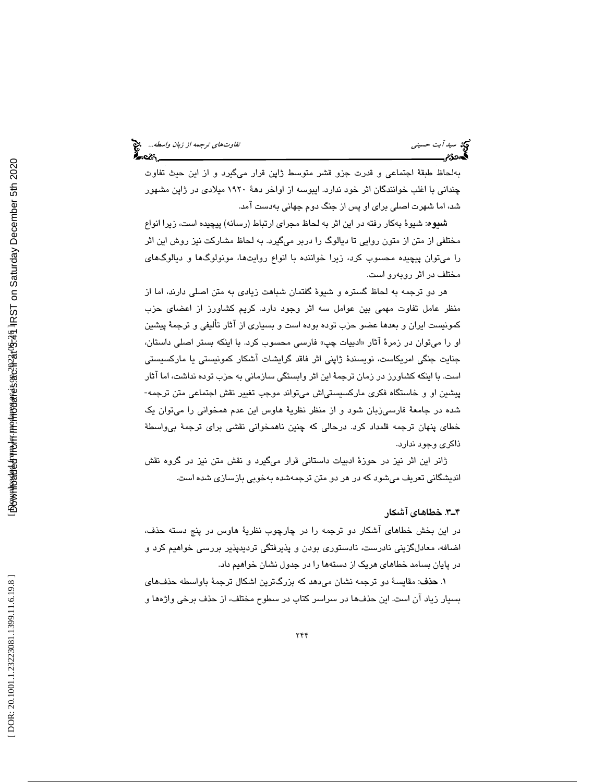بهلحاظ طبقة اجتماعي و قدرت جزو قشر متوسط ژاپن قرار ميگيرد و از اين حيث تفاوت چنداني با اغلب خوانندگان اثر خود ندارد. ايبوسه از اواخر دهة 1920 ميلادي در ژاپن مشهور شد، اما شهرت اصلي براي او پس از جنگ دوم جهاني بهدست آمد.

شيوه: شيوة بهكار رفته در اين اثر به لحاظ مجراي ارتباط (رسانه) پيچيده است، زيرا انواع مختلفي از متن از متون روايي تا ديالوگ را دربر ميگيرد. به لحاظ مشاركت نيز روش اين اثر را ميتوان پيچيده محسوب كرد، زيرا خواننده با انواع روايتها، مونولوگها و ديالوگهاي مختلف در اثر روبهرو است.

هر دو ترجمه به لحاظ گستره و شيوة گفتمان شباهت زيادي به متن اصلي دارند، اما از منظر عامل تفاوت مهمي بين عوامل سه اثر وجود دارد. كريم كشاورز از اعضاي حزب كمونيست ايران و بعدها عضو حزب توده بوده است و بسياري از آثار تأليفي و ترجمة پيشين او را ميتوان در زمرهٔ اثار «ادبيات چپ» فارسي محسوب كرد. با اينكه بستر اصلي داستان، جنايت جنگي امريكاست، نويسندة ژاپني اثر فاقد گرايشات آشكار كمونيستي يا ماركسيستي است. با اينكه كشاورز در زمان ترجمة اين اثر وابستگي سازماني به حزب توده نداشت، اما آثار پيشين او و خاستگاه فكري ماركسيستياش ميتواند موجب تغيير نقش اجتماعي متن ترجمه- شده در جامعة فارسيزبان شود و از منظر نظرية هاوس اين عدم همخواني را ميتوان يك خطاي پنهان ترجمه قلمداد كرد. درحالي كه چنين ناهمخواني نقشي براي ترجمة بيواسطة ذاكري وجود ندارد.

ژانر اين اثر نيز در حوزة ادبيات داستاني قرار ميگيرد و نقش متن نيز در گروه نقش انديشگاني تعريف ميشود كه در هر دو متن ترجمهشده بهخوبي بازسازي شده اس ت.

## 3ـ4 . خطاهاي آشكار

در اين بخش خطاهاي آشكار دو ترجمه را در چارچوب نظرية هاوس در پنج دسته حذف، اضافه، معادلگزيني نادرست، نادستوري بودن و پذيرفتگي ترديدپذير بررسي خواهيم كرد و در پايان بسامد خطاهاي هريك از دستهها را در جدول نشان خواهيم داد.

. حذف: مقايسة دو ترجمه نشان ميدهد كه بزرگترين اشكال ترجمة باواسطه حذفهاي 1 بسيار زياد آن است. اين حذفها در سراسر كتاب در سطوح مختلف، از حذف برخي واژهها و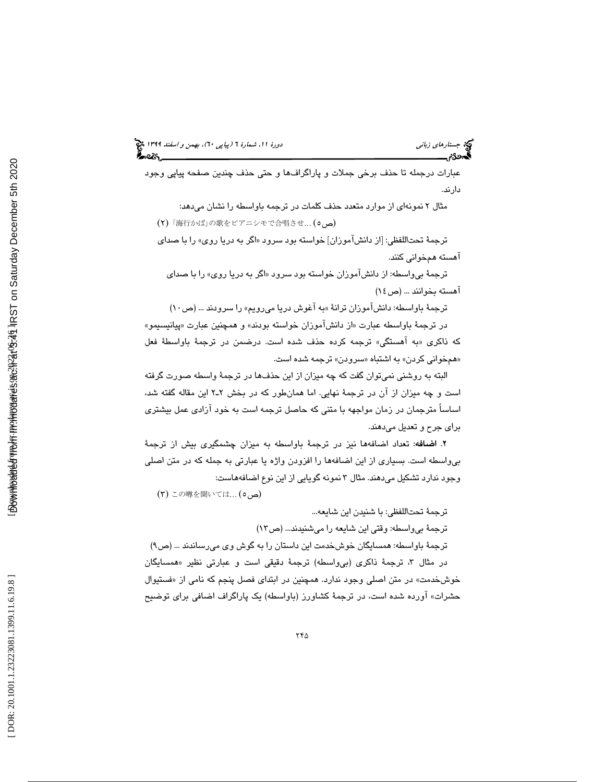# 6)، بهمن و اسفند 1399 (پياپي 0 جستارهاي زباني دورة ،11 شمارة 6

عبارات درجمله تا حذف برخي جملات و پاراگرافها و حتي حذف چندين صفحه پياپي وجود دارند.

مثال 2 نمونهاي از موارد متعدد حذف كلمات در ترجمه باواسطه را نشان ميدهد: ( 2 )「海行かば」の歌をピアニシモで合唱させ… ( 5 (ص

ترجمهٔ تحتاللفظی: [از دانش۱موزان] خواسته بود سرود «اگر به دریا روی» را با صدا*ی* آهسته همخواني كنند.

ترجمهٔ بي واسطه: از دانشآموزان خواسته بود سرود «اگر به دريا روي» را با صداي اهسته بخوانند ... (ص ١٤)

ترجمة باواسطه: دانشآموزان ترانة «به آغوش دريا مي رويم» را سرودند ... (ص ١٠)

در ترجمهٔ باواسطه عبارت «از دانش۱موزان خواسته بودند» و همچنین عبارت «پیانیسیمو» به آهستگي» ترجمه كرده حذف شده است. درضمن در ترجمة باواسطة فعل كه ذاكري « «همخوانی کردن» به اشتباه «سرودن» ترجمه شده است.

البته به روشني نميتوان گفت كه چه ميزان از اين حذفها در ترجمة واسطه صورت گرفته است و چه ميزان از آن در ترجمة نهايي. اما همانطور كه در بخش 2ـ2 اين مقاله گفته شد، اساساً مترجمان در زمان مواجهه با متني كه حاصل ترجمه است به خود آزادي عمل بيشتري براي جرح و تعديل ميدهند .

. اضافه: تعداد اضافهها نيز در ترجمة باواسطه به ميزان چشمگيري بيش از ترجمة 2 بيواسطه است. بسياري از اين اضافهها را افزودن واژه يا عبارتي به جمله كه در متن اصلي وجود ندارد تشكيل ميدهند. مثال 3 نمونه گويايي از اين نوع اضافههاست:

(٣) この噂を聞いては… (ص ٥)

ترجمة تحتاللفظي: با شنيدن اين شايعه...

ترجمة بيواسطه: وقتي اين شايعه را ميشنيدند... (ص )13

ترجمهٔ باواسطه: همسایگان خوشخدمت این داستان را به گوش وی میرساندند ... (ص۹) در مثال ۳، ترجمهٔ ذاکری (بیواسطه) ترجمهٔ دقیقی است و عبارتی نظیر «همسایگان خوشخدمت» در متن اصلي وجود ندارد. همچنين در ابتدای فصل پنجم كه نامی از «فستيوال حشرات» آورده شده است، در ترجمة كشاورز (باواسطه) يك پاراگراف اضافي براي توضيح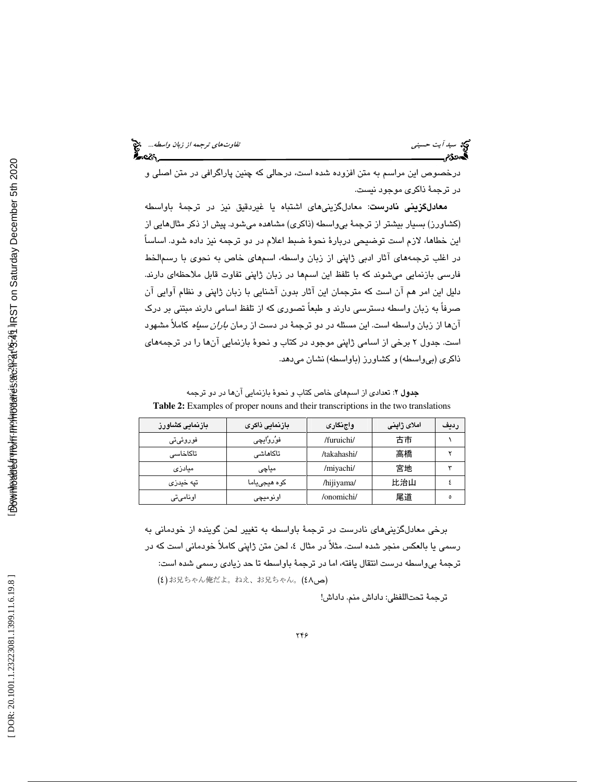درخصوص اين مراسم به متن افزوده شده است، درحالي كه چنين پاراگرافي در متن اصلي و در ترجمة ذاكري موجود نيست.

معادلگزيني نادرست: معادلگزينيهاي اشتباه يا غيردقيق نيز در ترجمة باواسطه (كشاورز) بسيار بيشتر از ترجمة بيواسطه (ذاكري) مشاهده ميشود. پيش از ذكر مثالهايي از اين خطاها، لازم است توضيحي دربارة نحوة ضبط اعلام در دو ترجمه نيز داده شود. اساساً در اغلب ترجمههاي آثار ادبي ژاپني از زبان واسطه، اسمهاي خاص به نحوي با رسمالخط فارسي بازنمايي ميشوند كه با تلفظ اين اسمها در زبان ژاپني تفاوت قابل ملاحظهاي دارند. دليل اين امر هم آن است كه مترجمان اين آثار بدون آشنايي با زبان ژاپني و نظام آوايي آن صرفاً به زبان واسطه دسترسي دارند و طبعاً تصوري كه از تلفظ اسامي دارند مبتني بر درك آنها از زبان واسطه است. اين مسئله در دو ترجمة در دست از رمان باران سياه كاملاً مشهود است. جدول 2 برخي از اسامي ژاپني موجود در كتاب و نحوة بازنمايي آنها را در ترجمههاي ذاكري (بيواسطه) و كشاورز (باواسطه) نشان ميدهد.

جدول 2: تعدادي از اسمهاي خاص كتاب و نحوة بازنمايي آنها در دو ترجمه **Table 2:** Examples of proper nouns and their transcriptions in the two translations

| بازنمایی کشاورز | ً بازنمایی ذاکری | واجنگاری    | املاى ژاينى | رديف |
|-----------------|------------------|-------------|-------------|------|
| فوروئىتى        | فوُروُايچى       | /furuichi/  | 古市          |      |
| تاكاخاسى        | تاكاهاشے         | /takahashi/ | 高橋          |      |
| میادزی          | میاچی            | /miyachi/   | 宮地          |      |
| تپه خیدزی       | کوہ ھیجی یاما    | /hijiyama/  | 比治山         |      |
| اونامىتى        | اونوميچى         | /onomichi/  | 尾道          | ٥    |

برخي معادل گزيني هاي نادرست در ترجمهٔ باواسطه به تغيير لحن گوينده از خودماني به رسمی یا بالعکس منجر شده است. مثلاً در مثال ٤، لحن متن ژاپنی کاملاً خودمانی است که در ترجمة بيواسطه درست انتقال يافته، اما در ترجمة باواسطه تا حد زيادي رسمي شده است: (2) お兄ちゃん俺だよ。ねえ、お兄ちゃん。 (2)

ترجمة تحتاللفظي: داداش منم. داداش!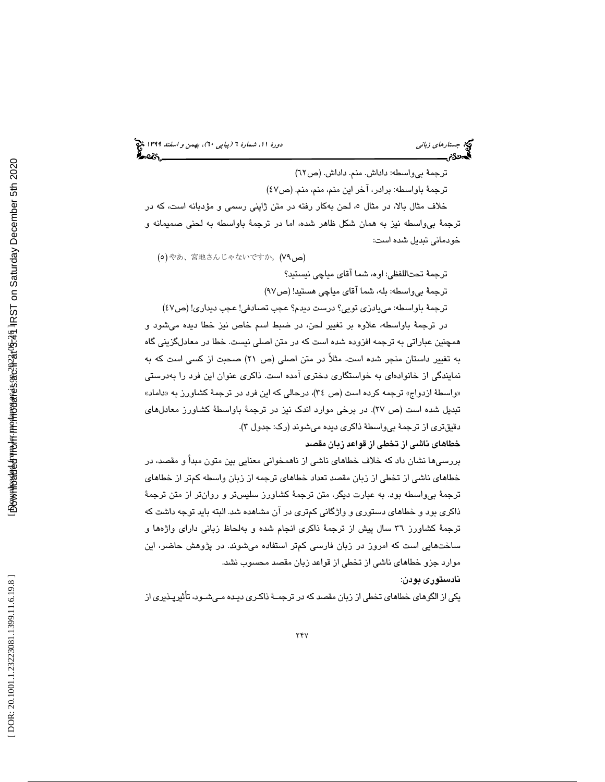6)، بهمن و اسفند 1399 (پياپي 0 جستارهاي زباني دورة ،11 شمارة 6

ترجمة بي واسطه: داداش. منم. داداش. (ص٦٢) ترجمة باواسطه: برادر، آخر اين منم، منم، منم. (ص )47 خلاف مثال بالا، در مثال ٥، لحن بهكار رفته در متن ژاپني رسمي و مؤدبانه است، كه در ترجمة بيواسطه نيز به همان شكل ظاهر شده، اما در ترجمة باواسطه به لحني صميمانه و خودماني تبديل شده است:

(a)やあ、宮地さんじゃないですか。 (V٩)

ترجمة تحتاللفظي: اوه، شما آقاي مياچي نيستيد؟

ترجمة بيواسطه: بله، شما آقاي مياچي هستيد ! (ص )97

ترجمة باواسطه: مييادزي تويي؟ درست ديدم؟ عجب تصادفي! عجب ديداري ! (ص )47

در ترجمة باواسطه، علاوه بر تغيير لحن، در ضبط اسم خاص نيز خطا ديده ميشود و همچنين عباراتي به ترجمه افزوده شده است كه در متن اصلي نيست. خطا در معادلگزيني گاه به تغيير داستان منجر شده است. مثلاً در متن اصلي (ص 21) صحبت از كسي است كه به نمايندگي از خانوادهاي به خواستگاري دختري آمده است. ذاكري عنوان اين فرد را بهدرستي «واسطهٔ ازدواج» ترجمه کرده است (ص ۳٤)، درحالی که این فرد در ترجمهٔ کشاورز به «داماد» تبديل شده است (ص 27). در برخي موارد اندك نيز در ترجمة باواسطة كشاورز معادلهاي دقيقتري از ترجمة بيواسطة ذاكري ديده ميشوند (رك: جدول )3.

خطاهاي ناشي از تخطي از قواعد زبان مقصد

بررسيها نشان داد كه خلاف خطاهاي ناشي از ناهمخواني معنايي بين متون مبدأ و مقصد، در خطاهاي ناشي از تخطي از زبان مقصد تعداد خطاهاي ترجمه از زبان واسطه كمتر از خطاهاي ترجمة بيواسطه بود. به عبارت ديگر، متن ترجمة كشاورز سليستر و روانتر از متن ترجمة ذاكري بود و خطاهاي دستوري و واژگاني كمتري در آن مشاهده شد. البته بايد توجه داشت كه ترجمة كشاورز 36 سال پيش از ترجمة ذاكري انجام شده و بهلحاظ زباني داراي واژهها و ساختهايي است كه امروز در زبان فارسي كمتر استفاده ميشوند. در پژوهش حاضر، اين موارد جزو خطاهاي ناشي از تخطي از قواعد زبان مقصد محسوب نشد.

نادستوري بودن :

يكي از الگوهاي خطاهاي تخطي از زبان مقصد كه در ترجمـة ذاكـري ديـده مـي شـود، تأثيرپـذيري از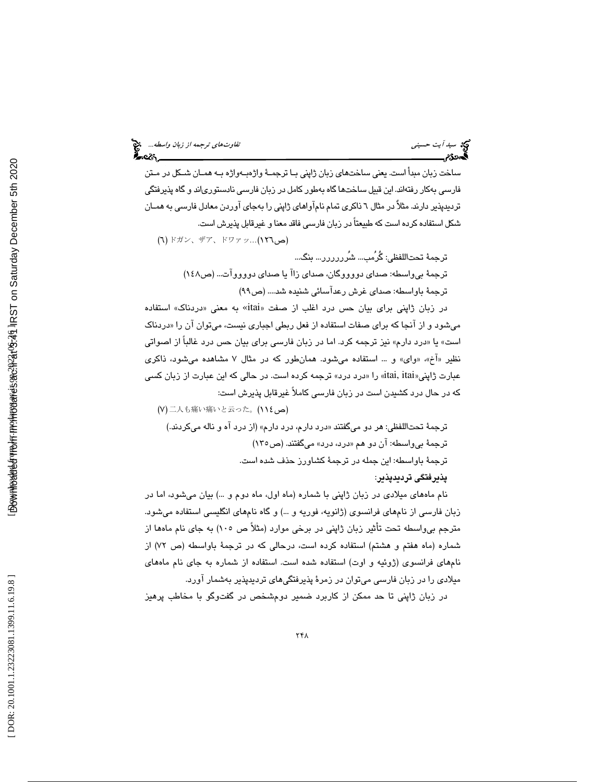ساخت زبان مبدأ است. يعني ساختهاي زبان ژاپني بـا ترجمـة واژ هبـه واژه بـه همـان شـكل در مـتن فارسي بهكار رفتهاند. اين قبيل ساختها گاه بهطور كامل در زبان فارسي نادستورياند و گاه پذيرفتگي ترديدپذير دارند. مثلاٌ در مثال 6 ذاكري تمام نامآواهاي ژاپني را بهجاي آوردن معادل فارسي به همـان شكل استفاده كرده است كه طبيعتاً در زبان فارسي فاقد معنا و غيرقابل پذيرش است.

(**ص١٢٦**)...(٩**٢**٣), ドワァッ...(١**٢٦)** ترجمة تحتاللفظي: گُرُمب... شُرررررر... بنگ... ترجمة بيواسطه: صداي دووووگان، صداي يا زاآ صداي دووووآت ... (ص148 ) ترجمة باواسطه: صدای غرش رعدآسائی شنیده شد.... (ص۹۹)

در زبان ژاپنی برای بیان حس درد اغلب از صفت «itai» به معنی «دردناک» استفاده میشود و از انجا که برای صفات استفاده از فعل ربطی اجباری نیست، میتوان ان را «دردناک است» يا «درد دارم» نيز ترجمه كرد. اما در زبان فارسي براي بيان حس درد غالباً از اصواتي نظیر «اخ»، «وای» و … استفاده میشود. همانطور که در مثال ۷ مشاهده میشود، ذاکری عبارت ژاپنی«itai, itai» را «درد درد» ترجمه کرده است. در حالی که این عبارت از زبان کسی كه در حال درد كشيدن است در زبان فارسي كاملاً غيرقابل پذيرش است:

)7( 二人も痛い痛いと云った。 (ص114) درد دارم، درد دارم» (از درد آه و ناله ميكردند.) ترجمة تحتاللفظي: هر دو ميگفتند « ترجمة بيواسطه: آن دو « هم درد، درد » ميگفتند . (ص135 ) ترجمة باواسطه: اين جمله در ترجمة كشاورز حذف شده است. پذيرفتگي ترديدپذير:

نام ماههاي ميلادي در زبان ژاپني با شماره (ماه اول، ماه دوم و ...) بيان ميشود، اما در زبان فارسي از نامهاي فرانسوي (ژانويه، فوريه و ...) و گاه نامهاي انگليسي استفاده ميشود. مترجم بيواسطه تحت تأثير زبان ژاپني در برخي موارد (مثلاً ص 105) به جاي نام ماهها از شماره (ماه هفتم و هشتم) استفاده كرده است، درحالي كه در ترجمة باواسطه (ص )72 از نامهاي فرانسوي (ژوئيه و اوت) استفاده شده است. استفاده از شماره به جاي نام ماههاي ميلادي را در زبان فارسي ميتوان در زمرة پذيرفتگيهاي ترديدپذير بهشمار آورد.

در زبان ژاپني تا حد ممكن از كاربرد ضمير دومشخص در گفتوگو با مخاطب پرهيز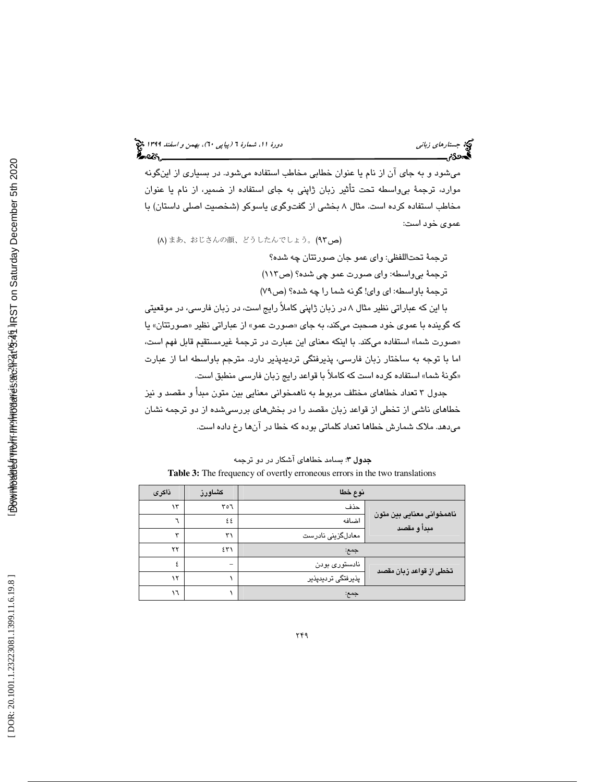ميشود و به جاي آن از نام يا عنوان خطابي مخاطب استفاده ميشود. در بسياري از اينگونه موارد، ترجمة بيواسطه تحت تأثير زبان ژاپني به جاي استفاده از ضمير، از نام يا عنوان مخاطب استفاده كرده است. مثال 8 بخشي از گفتوگوي ياسوكو (شخصيت اصلي داستان) با عموي خود است:

(A) まあ、おじさんの顔、どうしたんでしょう。 (٩٣)

ترجمة تحتاللفظي: واي عمو جان صورتتان چه شده؟ ترجمة بيواسطه: واي صورت عمو چي شده؟ (ص113 ) ترجمهٔ باواسطه: ای وای! گونه شما را چه شده؟ (ص ۷۹)

با اين كه عباراتي نظير مثال 8 در زبان ژاپني كاملاً رايج است، در زبان فارسي، در موقعيتي كه گوينده با عموى خود صحبت مىكند، به جاى «صورت عمو» از عباراتى نظير «صورتتان» يا صورت شما» استفاده ميكند. با اينكه معناي اين عبارت در ترجمة غيرمستقيم قابل فهم است، » اما با توجه به ساختار زبان فارسي، پذيرفتگي ترديدپذير دارد. مترجم باواسطه اما از عبارت گونة شما» استفاده كرده است كه كاملاً با قواعد رايج زبان فارسي منطبق است. »

جدول 3 تعداد خطاهاي مختلف مربوط به ناهمخواني معنايي بين متون مبدأ و مقصد و نيز خطاهاي ناشي از تخطي از قواعد زبان مقصد را در بخشهاي بررسيشده از دو ترجمه نشان ميدهد. ملاك شمارش خطاها تعداد كلماتي بوده كه خطا در آنها رخ داده است.

| <b>Table 5:</b> The hequency of overify enoncous enors in the two translations |                    |        |            |  |
|--------------------------------------------------------------------------------|--------------------|--------|------------|--|
| نوع خطا                                                                        |                    | كشاورز | ذاكرى      |  |
|                                                                                | حذف                | ٢٥٦    | ۱۳         |  |
| ناهمخوانی معنایی بین متون<br>مبدأ و مقصد                                       | اضافه              | ٤٤     |            |  |
|                                                                                | معادلگزینی نادرست  | ٣١     | $\check{}$ |  |
|                                                                                | جمع:               | ٤٣١    | ۲۲         |  |
| تخطی از قواعد زبان مقصد                                                        | نادستوری بودن      |        |            |  |
|                                                                                | پذیرفتگی تردیدپذیر |        | ۱۲         |  |
|                                                                                | جمع:               |        | ۱٦         |  |

جدول 3: بسامد خطاهاي آشكار در دو ترجمه **Table 3:** The frequency of overtly erroneous errors in the two translations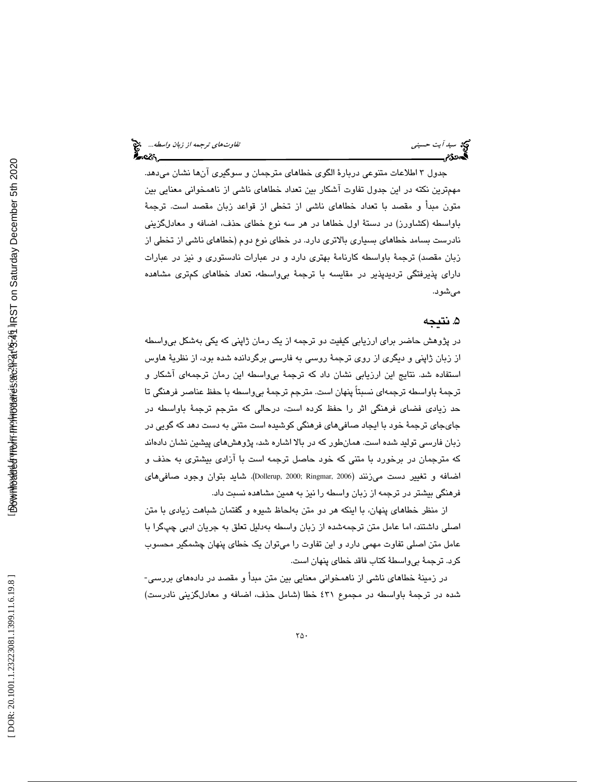طلاعات متنوعي دربارة الگوي خطاهاي مترجمان و سوگيري آنها نشان ميدهد. جدول 3 ا مهمترين نكته در اين جدول تفاوت آشكار بين تعداد خطاهاي ناشي از ناهمخواني معنايي بين متون مبدأ و مقصد با تعداد خطاهاي ناشي از تخطي از قواعد زبان مقصد است. ترجمة باواسطه (كشاورز) در دستة اول خطاها در هر سه نوع خطاي حذف، اضافه و معادلگزيني نادرست بسامد خطاهاي بسياري بالاتري دارد. در خطاي نوع دوم (خطاهاي ناشي از تخطي از زبان مقصد) ترجمة باواسطه كارنامة بهتري دارد و در عبارات نادستوري و نيز در عبارات داراي پذيرفتگي ترديدپذير در مقايسه با ترجمة بيواسطه، تعداد خطاهاي كمتري مشاهده ميشود.

## 5. نتيجه

در پژوهش حاضر براي ارزيابي كيفيت دو ترجمه از يك رمان ژاپني كه يكي بهشكل بيواسطه از زبان ژاپني و ديگري از روي ترجمة روسي به فارسي برگردانده شده بود، از نظرية هاوس استفاده شد. نتايج اين ارزيابي نشان داد كه ترجمة بيواسطه اين رمان ترجمهاي آشكار و ترجمة باواسطه ترجمهاي نسبتاً پنهان است. مترجم ترجمة بيواسطه با حفظ عناصر فرهنگي تا حد زيادي فضاي فرهنگي اثر را حفظ كرده است، درحالي كه مترجم ترجمة باواسطه در جايجاي ترجمة خود با ايجاد صافيهاي فرهنگي كوشيده است متني به دست دهد كه گويي در زبان فارسي توليد شده است. همانطور كه در بالا اشاره شد، پژوهشهاي پيشين نشان دادهاند كه مترجمان در برخورد با متني كه خود حاصل ترجمه است با آزادي بيشتري به حذف و اضافه و تغيير دست ميزنند (Dollerup, 2000; Ringmar, 2006). شايد بتوان وجود صافىهاى فرهنگي بيشتر در ترجمه از زبان واسطه را نيز به همين مشاهده نسبت داد.

از منظر خطاهاي پنهان، با اينكه هر دو متن بهلحاظ شيوه و گفتمان شباهت زيادي با متن اصلي داشتند، اما عامل متن ترجمهشده از زبان واسطه بهدليل تعلق به جريان ادبي چپگرا با عامل متن اصلي تفاوت مهمي دارد و اين تفاوت را ميتوان يك خطاي پنهان چشمگير محسوب كرد. ترجمة بيواسطة كتاب فاقد خطاي پنهان است.

در زمينة خطاهاي ناشي از ناهمخواني معنايي بين متن مبدأ و مقصد در دادههاي بررسي- شده در ترجمة باواسطه در مجموع 431 خطا (شامل حذف، اضافه و معادلگزيني نادرست)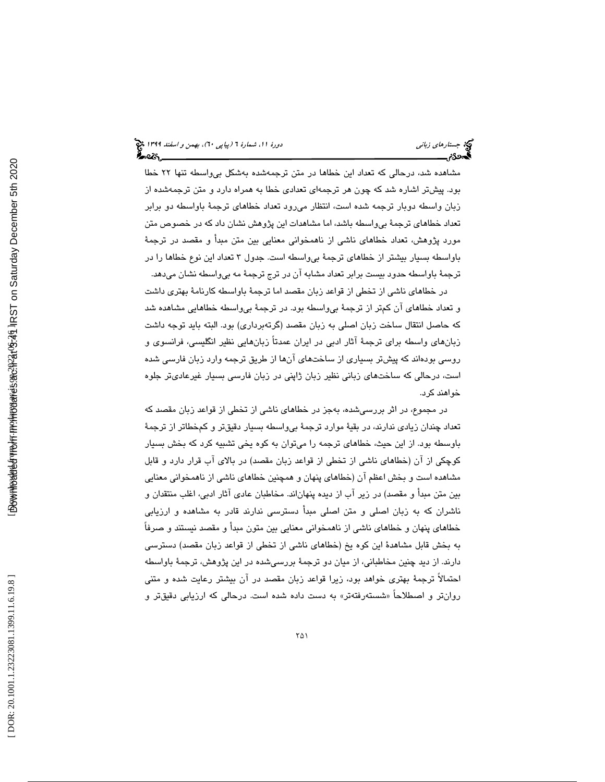مشاهده شد، درحالي كه تعداد اين خطاها در متن ترجمهشده بهشكل بيواسطه تنها 22 خطا بود. پيشتر اشاره شد كه چون هر ترجمهاي تعدادي خطا به همراه دارد و متن ترجمهشده از زبان واسطه دوبار ترجمه شده است، انتظار ميرود تعداد خطاهاي ترجمة باواسطه دو برابر تعداد خطاهاي ترجمة بيواسطه باشد، اما مشاهدات اين پژوهش نشان داد كه در خصوص متن مورد پژوهش، تعداد خطاهاي ناشي از ناهمخواني معنايي بين متن مبدأ و مقصد در ترجمة باواسطه بسيار بيشتر از خطاهاي ترجمة بيواسطه است. جدول 3 تعداد اين نوع خطاها را در ترجمة باواسطه حدود بيست برابر تعداد مشابه آن در ترج ترجمة مه بيواسطه نشان ميدهد.

در خطاهاي ناشي از تخطي از قواعد زبان مقصد اما ترجمة باواسطه كارنامة بهتري داشت و تعداد خطاهاي آن كمتر از ترجمة بيواسطه بود. در ترجمة بيواسطه خطاهايي مشاهده شد كه حاصل انتقال ساخت زبان اصلي به زبان مقصد (گرتهبرداري) بود. البته بايد توجه داشت زبانهاي واسطه براي ترجمة آثار ادبي در ايران عمدتاً زبانهايي نظير انگليسي، فرانسوي و روسي بودهاند كه پيشتر بسياري از ساختهاي آنها از طريق ترجمه وارد زبان فارسي شده است، درحالي كه ساختهاي زباني نظير زبان ژاپني در زبان فارسي بسيار غيرعاديتر جلوه خواهند كرد.

در مجموع، در اثر بررسيشده، به جز در خطاهاي ناشي از تخطي از قواعد زبان مقصد كه تعداد چندان زيادي ندارند، در بقية موارد ترجمة بيواسطه بسيار دقيقتر و كمخطاتر از ترجمة باوسطه بود. از اين حيث، خطاهاي ترجمه را ميتوان به كوه يخي تشبيه كرد كه بخش بسيار كوچكي از آن (خطاهاي ناشي از تخطي از قواعد زبان مقصد) در بالاي آب قرار دارد و قابل مشاهده است و بخش اعظم آن (خطاهاي پنهان و همچنين خطاهاي ناشي از ناهمخواني معنايي بين متن مبدأ و مقصد) در زير آب از ديده پنهاناند. مخاطبان عادي آثار ادبي، اغلب منتقدان و ناشران كه به زبان اصلي و متن اصلي مبدأ دسترسي ندارند قادر به مشاهده و ارزيابي خطاهاي پنهان و خطاهاي ناشي از ناهمخواني معنايي بين متون مبدأ و مقصد نيستند و صرفاً به بخش قابل مشاهدة اين كوه يخ (خطاهاي ناشي از تخطي از قواعد زبان مقصد) دسترسي دارند. از ديد چنين مخاطباني، از ميان دو ترجمة بررسيشده در اين پژوهش، ترجمة باواسطه احتمالاً ترجمة بهتري خواهد بود، زيرا قواعد زبان مقصد در آن بيشتر رعايت شده و متني روانتر و اصطلاحاً «شستهرفتهتر» به دست داده شده است. درحالی که ارزیابی دقیقتر و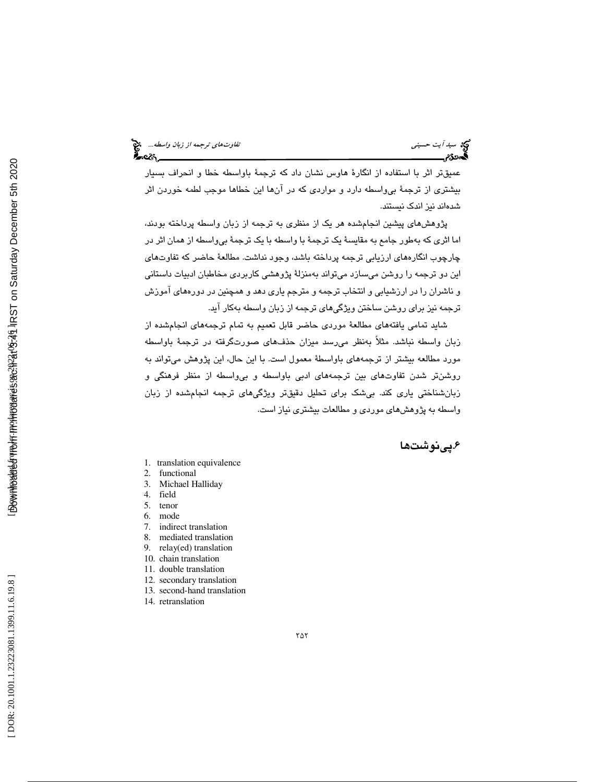معكام

عميقتر اثر با استفاده از انگارة هاوس نشان داد كه ترجمة باواسطه خطا و انحراف بسيار بيشتري از ترجمة بيواسطه دارد و مواردي كه در آنها اين خطاها موجب لطمه خوردن اثر شدهاند نيز اندك نيستند.

پژوهشهاي پيشين انجامشده هر يك از منظري به ترجمه از زبان واسطه پرداخته بودند، اما اثري كه بهطور جامع به مقايسة يك ترجمة با واسطه با يك ترجمة بيواسطه از همان اثر در چارچوب انگارههاي ارزيابي ترجمه پرداخته باشد، وجود نداشت. مطالعة حاضر كه تفاوتهاي اين دو ترجمه را روشن ميسازد ميتواند بهمنزلة پژوهشي كاربردي مخاطبان ادبيات داستاني و ناشران را در ارزشيابي و انتخاب ترجمه و مترجم ياري دهد و همچنين در دورههاي آموزش ترجمه نيز براي روشن ساختن ويژگيهاي ترجمه از زبان واسطه بهكار آيد.

شايد تمامي يافتههاي مطالعة موردي حاضر قابل تعميم به تمام ترجمههاي انجامشده از زبان واسطه نباشد. مثلاً بهنظر ميرسد ميزان حذفهاي صورتگرفته در ترجمة باواسطه مورد مطالعه بيشتر از ترجمههاي باواسطة معمول است. با اين حال، اين پژوهش ميتواند به روشنتر شدن تفاوتهاي بين ترجمههاي ادبي باواسطه و بيواسطه از منظر فرهنگي و زبانشناختي ياري كند. بيشك براي تحليل دقيقتر ويژگيهاي ترجمه انجامشده از زبان واسطه به پژوهشهاي موردي و مطالعات بيشتري نياز است.

## ۶.يينوشتها

- 1. translation equivalence
- 2. functional
- 3. Michael Halliday
- 4. field<br>5. tenor
- tenor
- 6. mode
- 7. indirect translation
- 8. mediated translation 9. relay(ed) translation
- 10. chain translation
- 11. double translation
- 12. secondary translation
- 13. second-hand translation
- 14. retranslation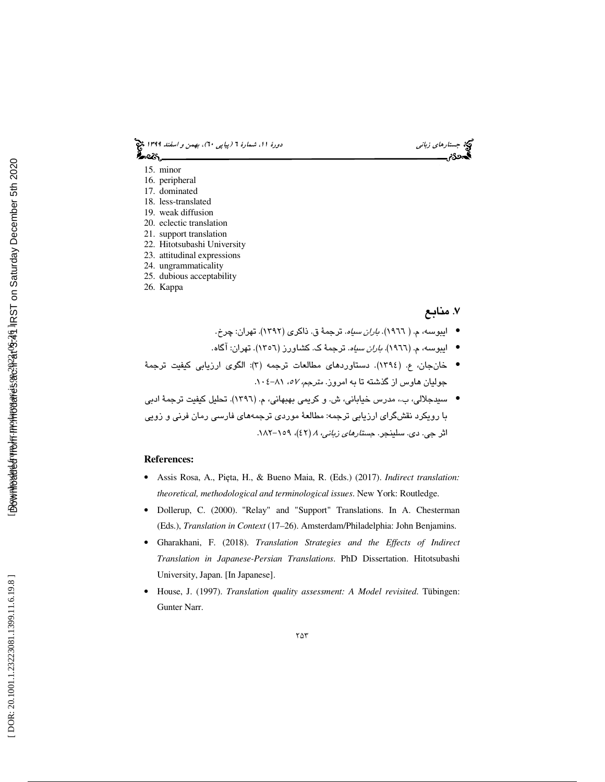6)، بهمن و اسفند 1399 (پياپي 0 جستارهاي زباني دورة ،11 شمارة 6 ಹಿಂಜ

- 15. minor
- 16. peripheral
- 17. dominated
- 18. less-translated
- 19. weak diffusion
- 20. eclectic translation
- 21. support translation
- 22. Hitotsubashi University
- 23. attitudinal expressions
- 24. ungrammaticality
- 25. dubious acceptability
- 26. Kappa

## ۷. منابع

- ايبوسه، م. ( ١٩٦٦). *باران سياه*. ترجمهٔ ق. ذاكر*ى* (١٣٩٢). تهران: چرخ.
- ایبوسه، م. (١٩٦٦)*. باران سیاه*. ترجمهٔ ک. کشاورز (١٣٥٦). تهران: آگاه.
- خانجان، ع. (١٣٩٤). دستاوردهاي مطالعات ترجمه (٣): الگوي ارزيابي كيفيت ترجمهٔ جولیان هاوس از گذشته تا به امروز. *مترجم، ۵۷*ه، ۰۸۱–۰۰٤.
- سيدجلالي، ب،، مدرس خياباني، ش. و كريمي بهبهاني، م. (١٣٩٦). تحليل كيفيت ترجمهٔ ادبي با رویکرد نقشگرای ارزیابی ترجمه: مطالعهٔ موردی ترجمههای فارسی رمان فرنی و زویی<br>اثر جی. دی. سلبنجر. ج*ستارهای زبانی، ۸ (*٤٢)، ۱۰۹–۱۸۲.

## **References:**

- Assis Rosa, A., Pi ęta, H., & Bueno Maia, R. (Eds.) (2017). *Indirect translation: theoretical, methodological and terminological issues*. New York: Routledge.
- Dollerup, C. (2000). "Relay" and "Support" Translations. In A. Chesterman (Eds.), *Translation in Context* (17–26). Amsterdam/Philadelphia: John Benjamins.
- Gharakhani, F. (2018). *Translation Strategies and the Effects of Indirect Translation in Japanese-Persian Translations*. PhD Dissertation. Hitotsubashi University, Japan. [In Japanese].
- House, J. (1997). *Translation quality assessment: A Model revisited*. Tübingen: Gunter Narr.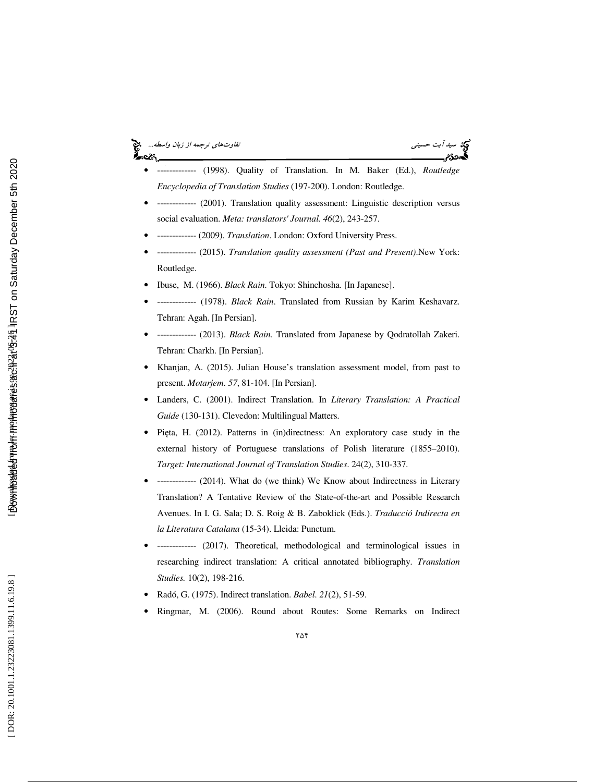#### سي*د آيت حسيني تفاوت تفاوت تشهير توج*مه *از زبان واسطه...*<br>تفا*وتهاي ترجمه از زبان واسطه*... વ્ટડ



- ------------- (1998). Quality of Translation. In M. Baker (Ed.), *Routledge Encyclopedia of Translation Studies* (197-200). London: Routledge.
- ------------- (2001). Translation quality assessment: Linguistic description versus social evaluation. *Meta: translators' Journal. 46*(2), 243-257.
- ------------- (2009). *Translation*. London: Oxford University Press.
- ------------- (2015). *Translation quality assessment (Past and Present)*.New York: Routledge.
- Ibuse, M. (1966). *Black Rain*. Tokyo: Shinchosha. [In Japanese].
- ------------- (1978). *Black Rain*. Translated from Russian by Karim Keshavarz. Tehran: Agah. [In Persian].
- ------------- (2013). *Black Rain*. Translated from Japanese by Qodratollah Zakeri. Tehran: Charkh. [In Persian].
- Khanjan, A. (2015). Julian House's translation assessment model, from past to present. *Motarjem*. *57*, 81-104. [In Persian].
- Landers, C. (2001). Indirect Translation. In *Literary Translation: A Practical Guide* (130-131). Clevedon: Multilingual Matters.
- Pi ęta, H. (2012). Patterns in (in)directness: An exploratory case study in the external history of Portuguese translations of Polish literature (1855–2010). *Target: International Journal of Translation Studie s*. 24(2), 310-337.
- ------------- (2014). What do (we think) We Know about Indirectness in Literary Translation? A Tentative Review of the State-of-the-art and Possible Research Avenues. In I. G. Sala; D. S. Roig & B. Zaboklick (Eds.). *Traducció Indirecta en la Literatura Catalana* (15-34). Lleida: Punctum.
- ------------- (2017). Theoretical, methodological and terminological issues in researching indirect translation: A critical annotated bibliography. *Translation Studies.* 10(2), 198-216.
- Radó, G. (1975). Indirect translation. *Babel*. *21*(2), 51-59.
- Ringmar, M. (2006). Round about Routes: Some Remarks on Indirect